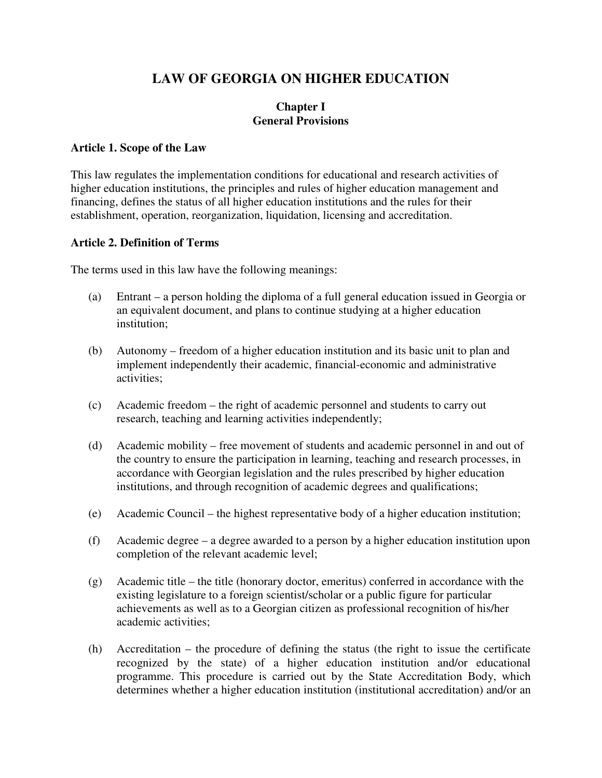# **LAW OF GEORGIA ON HIGHER EDUCATION**

### **Chapter I General Provisions**

### **Article 1. Scope of the Law**

This law regulates the implementation conditions for educational and research activities of higher education institutions, the principles and rules of higher education management and financing, defines the status of all higher education institutions and the rules for their establishment, operation, reorganization, liquidation, licensing and accreditation.

### **Article 2. Definition of Terms**

The terms used in this law have the following meanings:

- (a) Entrant a person holding the diploma of a full general education issued in Georgia or an equivalent document, and plans to continue studying at a higher education institution;
- (b) Autonomy freedom of a higher education institution and its basic unit to plan and implement independently their academic, financial-economic and administrative activities;
- (c) Academic freedom the right of academic personnel and students to carry out research, teaching and learning activities independently;
- (d) Academic mobility free movement of students and academic personnel in and out of the country to ensure the participation in learning, teaching and research processes, in accordance with Georgian legislation and the rules prescribed by higher education institutions, and through recognition of academic degrees and qualifications;
- (e) Academic Council the highest representative body of a higher education institution;
- (f) Academic degree a degree awarded to a person by a higher education institution upon completion of the relevant academic level;
- (g) Academic title the title (honorary doctor, emeritus) conferred in accordance with the existing legislature to a foreign scientist/scholar or a public figure for particular achievements as well as to a Georgian citizen as professional recognition of his/her academic activities;
- (h) Accreditation the procedure of defining the status (the right to issue the certificate recognized by the state) of a higher education institution and/or educational programme. This procedure is carried out by the State Accreditation Body, which determines whether a higher education institution (institutional accreditation) and/or an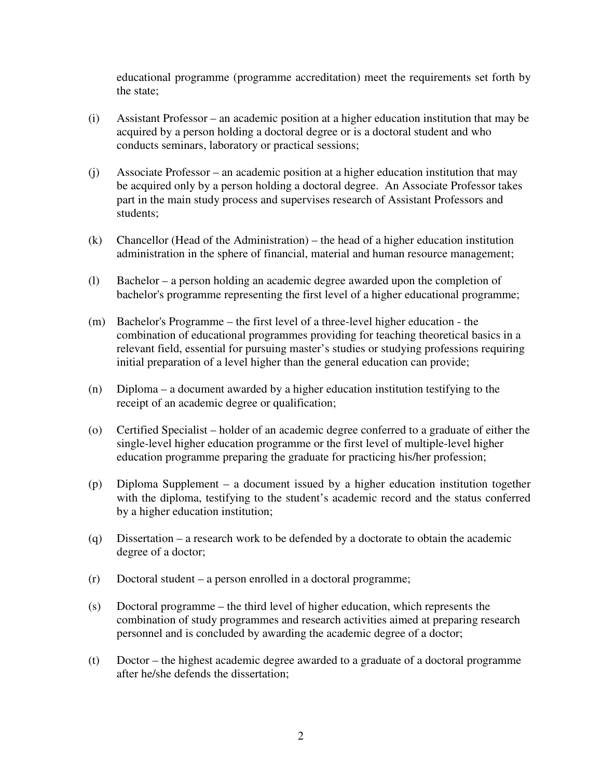educational programme (programme accreditation) meet the requirements set forth by the state;

- (i) Assistant Professor an academic position at a higher education institution that may be acquired by a person holding a doctoral degree or is a doctoral student and who conducts seminars, laboratory or practical sessions;
- (j) Associate Professor an academic position at a higher education institution that may be acquired only by a person holding a doctoral degree. An Associate Professor takes part in the main study process and supervises research of Assistant Professors and students;
- (k) Chancellor (Head of the Administration) the head of a higher education institution administration in the sphere of financial, material and human resource management;
- (l) Bachelor a person holding an academic degree awarded upon the completion of bachelor's programme representing the first level of a higher educational programme;
- (m) Bachelor's Programme the first level of a three-level higher education the combination of educational programmes providing for teaching theoretical basics in a relevant field, essential for pursuing master's studies or studying professions requiring initial preparation of a level higher than the general education can provide;
- (n) Diploma a document awarded by a higher education institution testifying to the receipt of an academic degree or qualification;
- (o) Certified Specialist holder of an academic degree conferred to a graduate of either the single-level higher education programme or the first level of multiple-level higher education programme preparing the graduate for practicing his/her profession;
- (p) Diploma Supplement a document issued by a higher education institution together with the diploma, testifying to the student's academic record and the status conferred by a higher education institution;
- (q) Dissertation a research work to be defended by a doctorate to obtain the academic degree of a doctor;
- (r) Doctoral student a person enrolled in a doctoral programme;
- (s) Doctoral programme the third level of higher education, which represents the combination of study programmes and research activities aimed at preparing research personnel and is concluded by awarding the academic degree of a doctor;
- (t) Doctor the highest academic degree awarded to a graduate of a doctoral programme after he/she defends the dissertation;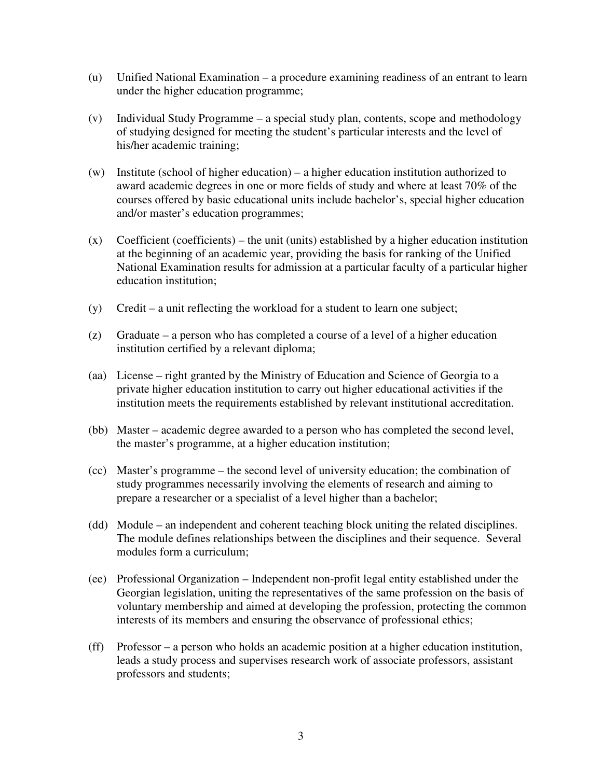- (u) Unified National Examination a procedure examining readiness of an entrant to learn under the higher education programme;
- (v) Individual Study Programme a special study plan, contents, scope and methodology of studying designed for meeting the student's particular interests and the level of his/her academic training;
- (w) Institute (school of higher education) a higher education institution authorized to award academic degrees in one or more fields of study and where at least 70% of the courses offered by basic educational units include bachelor's, special higher education and/or master's education programmes;
- (x) Coefficient (coefficients) the unit (units) established by a higher education institution at the beginning of an academic year, providing the basis for ranking of the Unified National Examination results for admission at a particular faculty of a particular higher education institution;
- (y) Credit a unit reflecting the workload for a student to learn one subject;
- (z) Graduate a person who has completed a course of a level of a higher education institution certified by a relevant diploma;
- (aa) License right granted by the Ministry of Education and Science of Georgia to a private higher education institution to carry out higher educational activities if the institution meets the requirements established by relevant institutional accreditation.
- (bb) Master academic degree awarded to a person who has completed the second level, the master's programme, at a higher education institution;
- (cc) Master's programme the second level of university education; the combination of study programmes necessarily involving the elements of research and aiming to prepare a researcher or a specialist of a level higher than a bachelor;
- (dd) Module an independent and coherent teaching block uniting the related disciplines. The module defines relationships between the disciplines and their sequence. Several modules form a curriculum;
- (ee) Professional Organization Independent non-profit legal entity established under the Georgian legislation, uniting the representatives of the same profession on the basis of voluntary membership and aimed at developing the profession, protecting the common interests of its members and ensuring the observance of professional ethics;
- (ff) Professor a person who holds an academic position at a higher education institution, leads a study process and supervises research work of associate professors, assistant professors and students;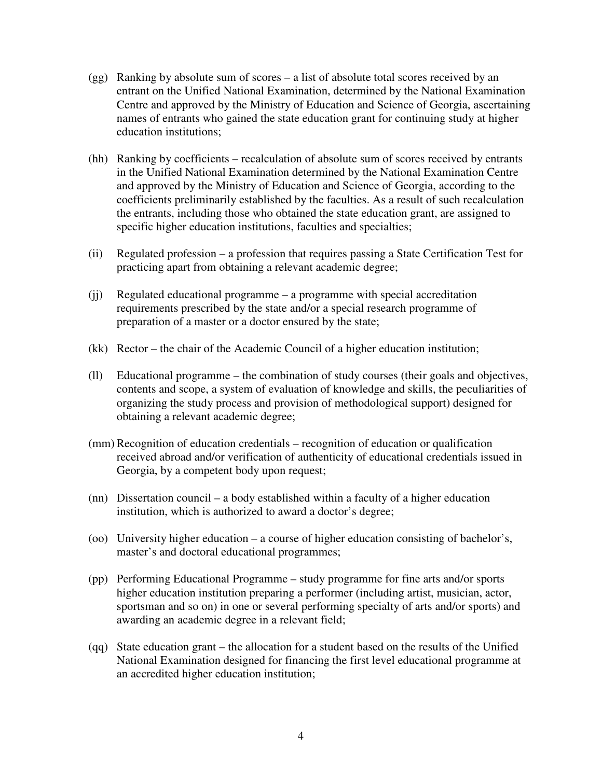- (gg) Ranking by absolute sum of scores a list of absolute total scores received by an entrant on the Unified National Examination, determined by the National Examination Centre and approved by the Ministry of Education and Science of Georgia, ascertaining names of entrants who gained the state education grant for continuing study at higher education institutions;
- (hh) Ranking by coefficients recalculation of absolute sum of scores received by entrants in the Unified National Examination determined by the National Examination Centre and approved by the Ministry of Education and Science of Georgia, according to the coefficients preliminarily established by the faculties. As a result of such recalculation the entrants, including those who obtained the state education grant, are assigned to specific higher education institutions, faculties and specialties;
- (ii) Regulated profession a profession that requires passing a State Certification Test for practicing apart from obtaining a relevant academic degree;
- (jj) Regulated educational programme a programme with special accreditation requirements prescribed by the state and/or a special research programme of preparation of a master or a doctor ensured by the state;
- (kk) Rector the chair of the Academic Council of a higher education institution;
- (ll) Educational programme the combination of study courses (their goals and objectives, contents and scope, a system of evaluation of knowledge and skills, the peculiarities of organizing the study process and provision of methodological support) designed for obtaining a relevant academic degree;
- (mm) Recognition of education credentials recognition of education or qualification received abroad and/or verification of authenticity of educational credentials issued in Georgia, by a competent body upon request;
- (nn) Dissertation council a body established within a faculty of a higher education institution, which is authorized to award a doctor's degree;
- (oo) University higher education a course of higher education consisting of bachelor's, master's and doctoral educational programmes;
- (pp) Performing Educational Programme study programme for fine arts and/or sports higher education institution preparing a performer (including artist, musician, actor, sportsman and so on) in one or several performing specialty of arts and/or sports) and awarding an academic degree in a relevant field;
- (qq) State education grant the allocation for a student based on the results of the Unified National Examination designed for financing the first level educational programme at an accredited higher education institution;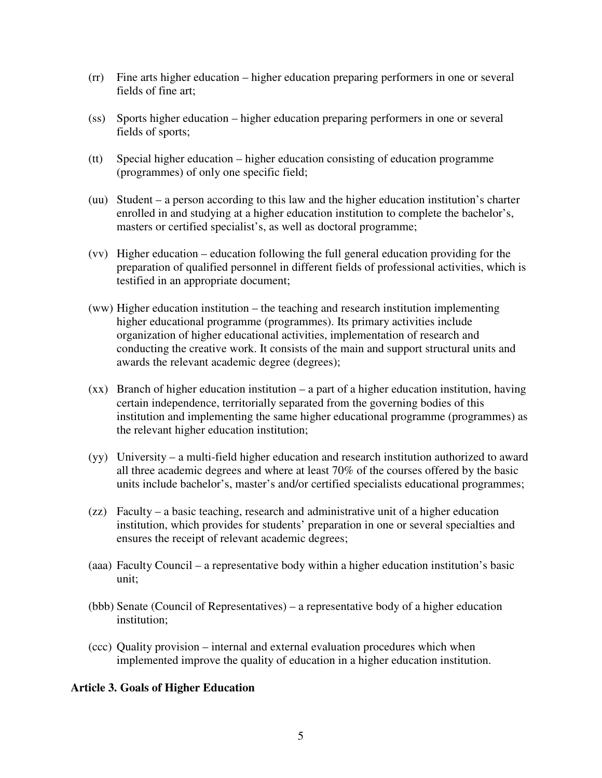- (rr) Fine arts higher education higher education preparing performers in one or several fields of fine art;
- (ss) Sports higher education higher education preparing performers in one or several fields of sports;
- (tt) Special higher education higher education consisting of education programme (programmes) of only one specific field;
- (uu) Student a person according to this law and the higher education institution's charter enrolled in and studying at a higher education institution to complete the bachelor's, masters or certified specialist's, as well as doctoral programme;
- (vv) Higher education education following the full general education providing for the preparation of qualified personnel in different fields of professional activities, which is testified in an appropriate document;
- (ww) Higher education institution the teaching and research institution implementing higher educational programme (programmes). Its primary activities include organization of higher educational activities, implementation of research and conducting the creative work. It consists of the main and support structural units and awards the relevant academic degree (degrees);
- (xx) Branch of higher education institution a part of a higher education institution, having certain independence, territorially separated from the governing bodies of this institution and implementing the same higher educational programme (programmes) as the relevant higher education institution;
- (yy) University a multi-field higher education and research institution authorized to award all three academic degrees and where at least 70% of the courses offered by the basic units include bachelor's, master's and/or certified specialists educational programmes;
- (zz) Faculty a basic teaching, research and administrative unit of a higher education institution, which provides for students' preparation in one or several specialties and ensures the receipt of relevant academic degrees;
- (aaa) Faculty Council a representative body within a higher education institution's basic unit;
- (bbb) Senate (Council of Representatives) a representative body of a higher education institution;
- (ccc) Quality provision internal and external evaluation procedures which when implemented improve the quality of education in a higher education institution.

### **Article 3. Goals of Higher Education**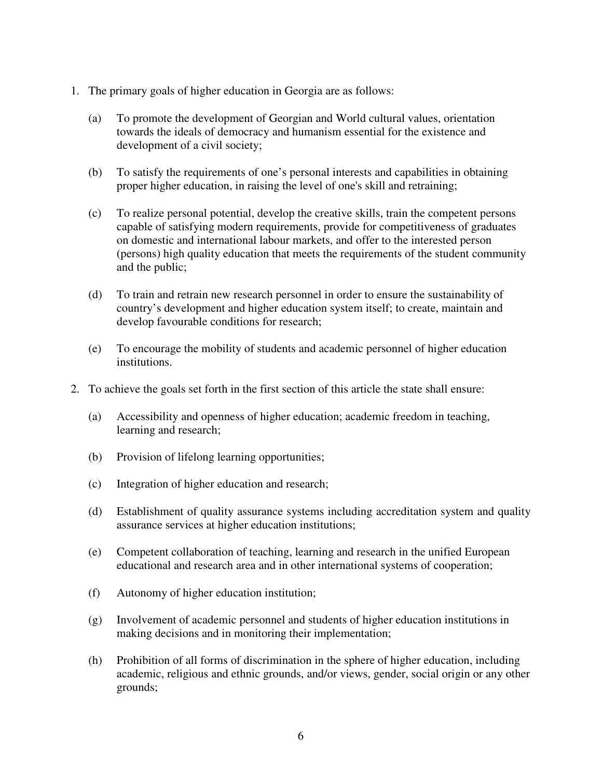- 1. The primary goals of higher education in Georgia are as follows:
	- (a) To promote the development of Georgian and World cultural values, orientation towards the ideals of democracy and humanism essential for the existence and development of a civil society;
	- (b) To satisfy the requirements of one's personal interests and capabilities in obtaining proper higher education, in raising the level of one's skill and retraining;
	- (c) To realize personal potential, develop the creative skills, train the competent persons capable of satisfying modern requirements, provide for competitiveness of graduates on domestic and international labour markets, and offer to the interested person (persons) high quality education that meets the requirements of the student community and the public;
	- (d) To train and retrain new research personnel in order to ensure the sustainability of country's development and higher education system itself; to create, maintain and develop favourable conditions for research;
	- (e) To encourage the mobility of students and academic personnel of higher education institutions.
- 2. To achieve the goals set forth in the first section of this article the state shall ensure:
	- (a) Accessibility and openness of higher education; academic freedom in teaching, learning and research;
	- (b) Provision of lifelong learning opportunities;
	- (c) Integration of higher education and research;
	- (d) Establishment of quality assurance systems including accreditation system and quality assurance services at higher education institutions;
	- (e) Competent collaboration of teaching, learning and research in the unified European educational and research area and in other international systems of cooperation;
	- (f) Autonomy of higher education institution;
	- (g) Involvement of academic personnel and students of higher education institutions in making decisions and in monitoring their implementation;
	- (h) Prohibition of all forms of discrimination in the sphere of higher education, including academic, religious and ethnic grounds, and/or views, gender, social origin or any other grounds;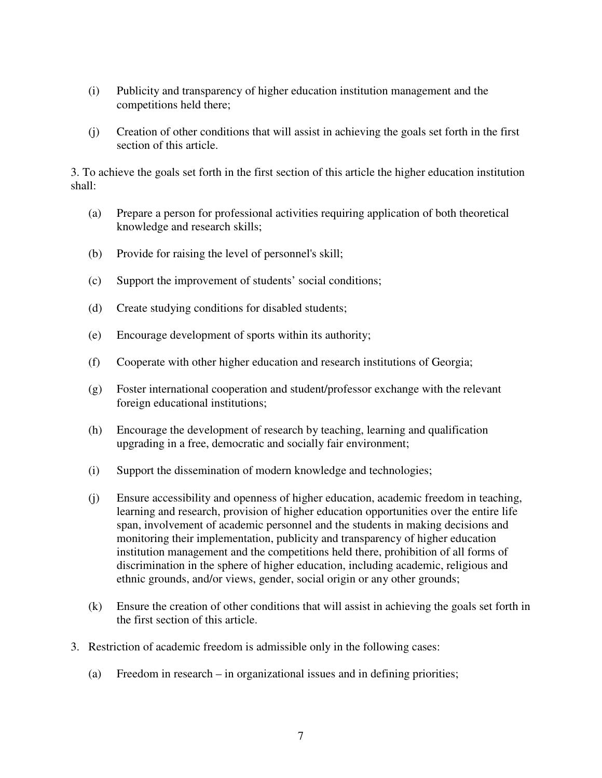- (i) Publicity and transparency of higher education institution management and the competitions held there;
- (j) Creation of other conditions that will assist in achieving the goals set forth in the first section of this article.

3. To achieve the goals set forth in the first section of this article the higher education institution shall:

- (a) Prepare a person for professional activities requiring application of both theoretical knowledge and research skills;
- (b) Provide for raising the level of personnel's skill;
- (c) Support the improvement of students' social conditions;
- (d) Create studying conditions for disabled students;
- (e) Encourage development of sports within its authority;
- (f) Cooperate with other higher education and research institutions of Georgia;
- (g) Foster international cooperation and student/professor exchange with the relevant foreign educational institutions;
- (h) Encourage the development of research by teaching, learning and qualification upgrading in a free, democratic and socially fair environment;
- (i) Support the dissemination of modern knowledge and technologies;
- (j) Ensure accessibility and openness of higher education, academic freedom in teaching, learning and research, provision of higher education opportunities over the entire life span, involvement of academic personnel and the students in making decisions and monitoring their implementation, publicity and transparency of higher education institution management and the competitions held there, prohibition of all forms of discrimination in the sphere of higher education, including academic, religious and ethnic grounds, and/or views, gender, social origin or any other grounds;
- (k) Ensure the creation of other conditions that will assist in achieving the goals set forth in the first section of this article.
- 3. Restriction of academic freedom is admissible only in the following cases:
	- (a) Freedom in research in organizational issues and in defining priorities;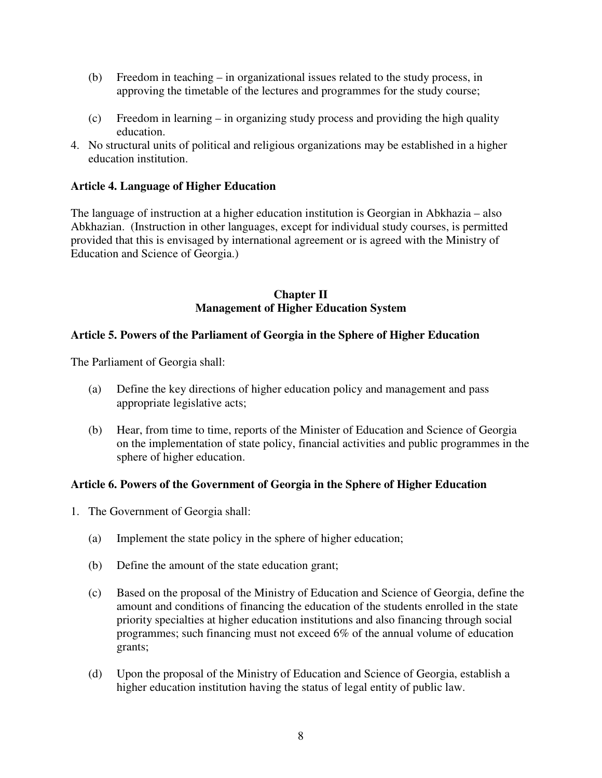- (b) Freedom in teaching in organizational issues related to the study process, in approving the timetable of the lectures and programmes for the study course;
- (c) Freedom in learning in organizing study process and providing the high quality education.
- 4. No structural units of political and religious organizations may be established in a higher education institution.

## **Article 4. Language of Higher Education**

The language of instruction at a higher education institution is Georgian in Abkhazia – also Abkhazian. (Instruction in other languages, except for individual study courses, is permitted provided that this is envisaged by international agreement or is agreed with the Ministry of Education and Science of Georgia.)

### **Chapter II Management of Higher Education System**

## **Article 5. Powers of the Parliament of Georgia in the Sphere of Higher Education**

The Parliament of Georgia shall:

- (a) Define the key directions of higher education policy and management and pass appropriate legislative acts;
- (b) Hear, from time to time, reports of the Minister of Education and Science of Georgia on the implementation of state policy, financial activities and public programmes in the sphere of higher education.

## **Article 6. Powers of the Government of Georgia in the Sphere of Higher Education**

- 1. The Government of Georgia shall:
	- (a) Implement the state policy in the sphere of higher education;
	- (b) Define the amount of the state education grant;
	- (c) Based on the proposal of the Ministry of Education and Science of Georgia, define the amount and conditions of financing the education of the students enrolled in the state priority specialties at higher education institutions and also financing through social programmes; such financing must not exceed 6% of the annual volume of education grants;
	- (d) Upon the proposal of the Ministry of Education and Science of Georgia, establish a higher education institution having the status of legal entity of public law.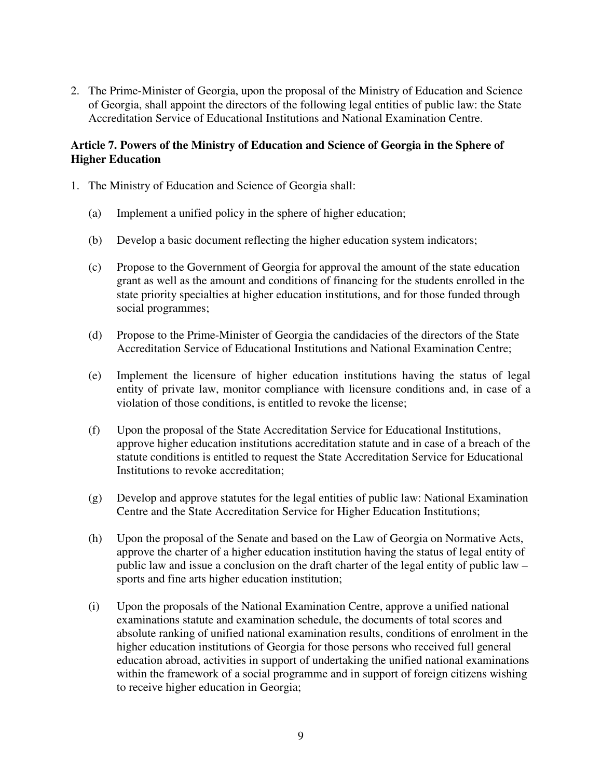2. The Prime-Minister of Georgia, upon the proposal of the Ministry of Education and Science of Georgia, shall appoint the directors of the following legal entities of public law: the State Accreditation Service of Educational Institutions and National Examination Centre.

### **Article 7. Powers of the Ministry of Education and Science of Georgia in the Sphere of Higher Education**

- 1. The Ministry of Education and Science of Georgia shall:
	- (a) Implement a unified policy in the sphere of higher education;
	- (b) Develop a basic document reflecting the higher education system indicators;
	- (c) Propose to the Government of Georgia for approval the amount of the state education grant as well as the amount and conditions of financing for the students enrolled in the state priority specialties at higher education institutions, and for those funded through social programmes;
	- (d) Propose to the Prime-Minister of Georgia the candidacies of the directors of the State Accreditation Service of Educational Institutions and National Examination Centre;
	- (e) Implement the licensure of higher education institutions having the status of legal entity of private law, monitor compliance with licensure conditions and, in case of a violation of those conditions, is entitled to revoke the license;
	- (f) Upon the proposal of the State Accreditation Service for Educational Institutions, approve higher education institutions accreditation statute and in case of a breach of the statute conditions is entitled to request the State Accreditation Service for Educational Institutions to revoke accreditation;
	- (g) Develop and approve statutes for the legal entities of public law: National Examination Centre and the State Accreditation Service for Higher Education Institutions;
	- (h) Upon the proposal of the Senate and based on the Law of Georgia on Normative Acts, approve the charter of a higher education institution having the status of legal entity of public law and issue a conclusion on the draft charter of the legal entity of public law – sports and fine arts higher education institution;
	- (i) Upon the proposals of the National Examination Centre, approve a unified national examinations statute and examination schedule, the documents of total scores and absolute ranking of unified national examination results, conditions of enrolment in the higher education institutions of Georgia for those persons who received full general education abroad, activities in support of undertaking the unified national examinations within the framework of a social programme and in support of foreign citizens wishing to receive higher education in Georgia;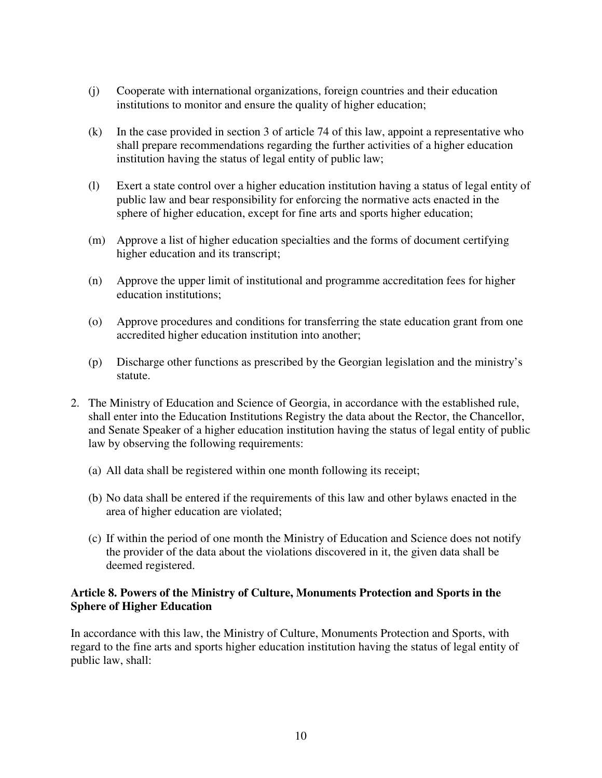- (j) Cooperate with international organizations, foreign countries and their education institutions to monitor and ensure the quality of higher education;
- (k) In the case provided in section 3 of article 74 of this law, appoint a representative who shall prepare recommendations regarding the further activities of a higher education institution having the status of legal entity of public law;
- (l) Exert a state control over a higher education institution having a status of legal entity of public law and bear responsibility for enforcing the normative acts enacted in the sphere of higher education, except for fine arts and sports higher education;
- (m) Approve a list of higher education specialties and the forms of document certifying higher education and its transcript;
- (n) Approve the upper limit of institutional and programme accreditation fees for higher education institutions;
- (o) Approve procedures and conditions for transferring the state education grant from one accredited higher education institution into another;
- (p) Discharge other functions as prescribed by the Georgian legislation and the ministry's statute.
- 2. The Ministry of Education and Science of Georgia, in accordance with the established rule, shall enter into the Education Institutions Registry the data about the Rector, the Chancellor, and Senate Speaker of a higher education institution having the status of legal entity of public law by observing the following requirements:
	- (a) All data shall be registered within one month following its receipt;
	- (b) No data shall be entered if the requirements of this law and other bylaws enacted in the area of higher education are violated;
	- (c) If within the period of one month the Ministry of Education and Science does not notify the provider of the data about the violations discovered in it, the given data shall be deemed registered.

### **Article 8. Powers of the Ministry of Culture, Monuments Protection and Sports in the Sphere of Higher Education**

In accordance with this law, the Ministry of Culture, Monuments Protection and Sports, with regard to the fine arts and sports higher education institution having the status of legal entity of public law, shall: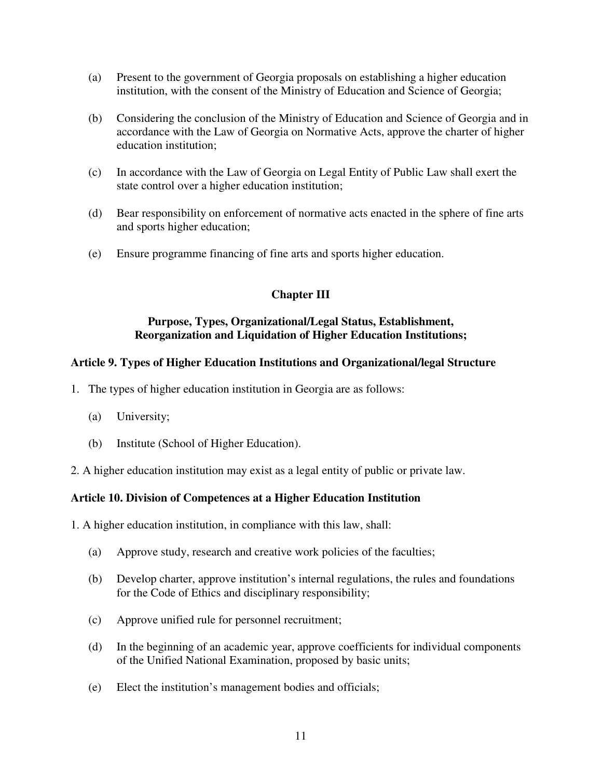- (a) Present to the government of Georgia proposals on establishing a higher education institution, with the consent of the Ministry of Education and Science of Georgia;
- (b) Considering the conclusion of the Ministry of Education and Science of Georgia and in accordance with the Law of Georgia on Normative Acts, approve the charter of higher education institution;
- (c) In accordance with the Law of Georgia on Legal Entity of Public Law shall exert the state control over a higher education institution;
- (d) Bear responsibility on enforcement of normative acts enacted in the sphere of fine arts and sports higher education;
- (e) Ensure programme financing of fine arts and sports higher education.

## **Chapter III**

### **Purpose, Types, Organizational/Legal Status, Establishment, Reorganization and Liquidation of Higher Education Institutions;**

### **Article 9. Types of Higher Education Institutions and Organizational/legal Structure**

- 1. The types of higher education institution in Georgia are as follows:
	- (a) University;
	- (b) Institute (School of Higher Education).
- 2. A higher education institution may exist as a legal entity of public or private law.

### **Article 10. Division of Competences at a Higher Education Institution**

1. A higher education institution, in compliance with this law, shall:

- (a) Approve study, research and creative work policies of the faculties;
- (b) Develop charter, approve institution's internal regulations, the rules and foundations for the Code of Ethics and disciplinary responsibility;
- (c) Approve unified rule for personnel recruitment;
- (d) In the beginning of an academic year, approve coefficients for individual components of the Unified National Examination, proposed by basic units;
- (e) Elect the institution's management bodies and officials;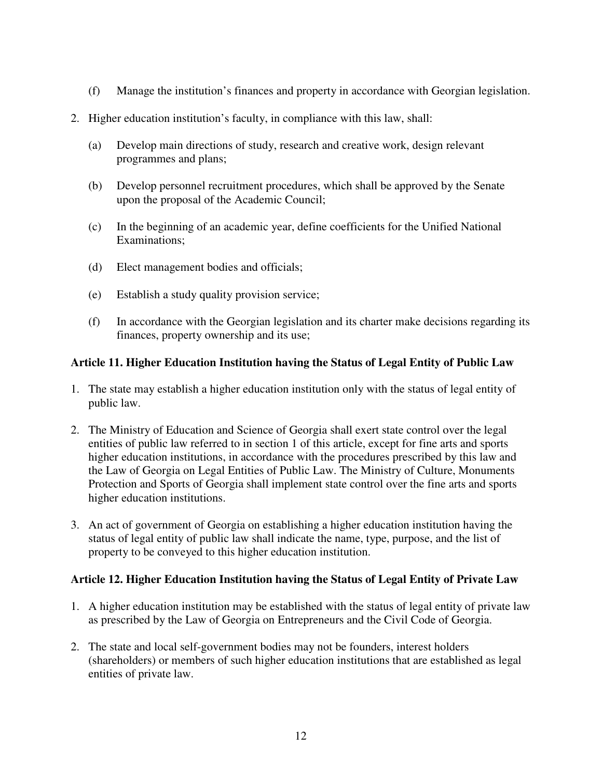- (f) Manage the institution's finances and property in accordance with Georgian legislation.
- 2. Higher education institution's faculty, in compliance with this law, shall:
	- (a) Develop main directions of study, research and creative work, design relevant programmes and plans;
	- (b) Develop personnel recruitment procedures, which shall be approved by the Senate upon the proposal of the Academic Council;
	- (c) In the beginning of an academic year, define coefficients for the Unified National Examinations;
	- (d) Elect management bodies and officials;
	- (e) Establish a study quality provision service;
	- (f) In accordance with the Georgian legislation and its charter make decisions regarding its finances, property ownership and its use;

### **Article 11. Higher Education Institution having the Status of Legal Entity of Public Law**

- 1. The state may establish a higher education institution only with the status of legal entity of public law.
- 2. The Ministry of Education and Science of Georgia shall exert state control over the legal entities of public law referred to in section 1 of this article, except for fine arts and sports higher education institutions, in accordance with the procedures prescribed by this law and the Law of Georgia on Legal Entities of Public Law. The Ministry of Culture, Monuments Protection and Sports of Georgia shall implement state control over the fine arts and sports higher education institutions.
- 3. An act of government of Georgia on establishing a higher education institution having the status of legal entity of public law shall indicate the name, type, purpose, and the list of property to be conveyed to this higher education institution.

### **Article 12. Higher Education Institution having the Status of Legal Entity of Private Law**

- 1. A higher education institution may be established with the status of legal entity of private law as prescribed by the Law of Georgia on Entrepreneurs and the Civil Code of Georgia.
- 2. The state and local self-government bodies may not be founders, interest holders (shareholders) or members of such higher education institutions that are established as legal entities of private law.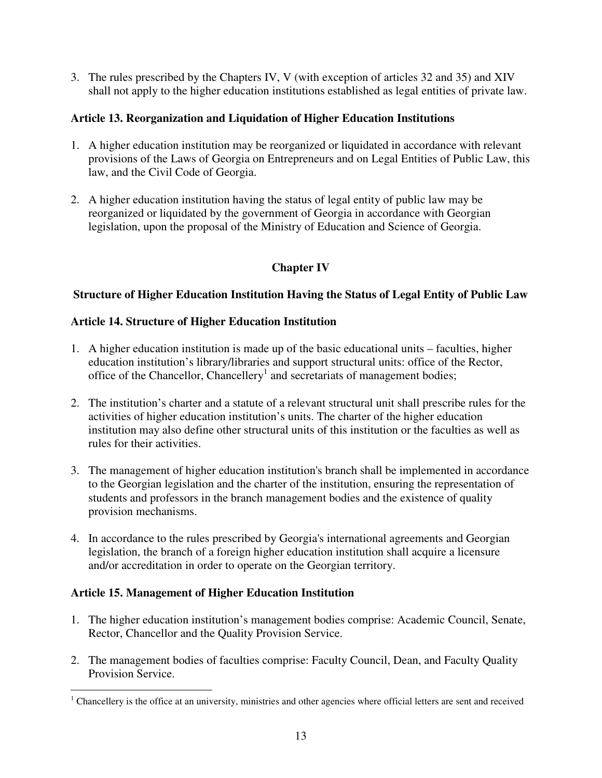3. The rules prescribed by the Chapters IV, V (with exception of articles 32 and 35) and XIV shall not apply to the higher education institutions established as legal entities of private law.

## **Article 13. Reorganization and Liquidation of Higher Education Institutions**

- 1. A higher education institution may be reorganized or liquidated in accordance with relevant provisions of the Laws of Georgia on Entrepreneurs and on Legal Entities of Public Law, this law, and the Civil Code of Georgia.
- 2. A higher education institution having the status of legal entity of public law may be reorganized or liquidated by the government of Georgia in accordance with Georgian legislation, upon the proposal of the Ministry of Education and Science of Georgia.

# **Chapter IV**

## **Structure of Higher Education Institution Having the Status of Legal Entity of Public Law**

## **Article 14. Structure of Higher Education Institution**

- 1. A higher education institution is made up of the basic educational units faculties, higher education institution's library/libraries and support structural units: office of the Rector, office of the Chancellor, Chancellery<sup>1</sup> and secretariats of management bodies;
- 2. The institution's charter and a statute of a relevant structural unit shall prescribe rules for the activities of higher education institution's units. The charter of the higher education institution may also define other structural units of this institution or the faculties as well as rules for their activities.
- 3. The management of higher education institution's branch shall be implemented in accordance to the Georgian legislation and the charter of the institution, ensuring the representation of students and professors in the branch management bodies and the existence of quality provision mechanisms.
- 4. In accordance to the rules prescribed by Georgia's international agreements and Georgian legislation, the branch of a foreign higher education institution shall acquire a licensure and/or accreditation in order to operate on the Georgian territory.

## **Article 15. Management of Higher Education Institution**

- 1. The higher education institution's management bodies comprise: Academic Council, Senate, Rector, Chancellor and the Quality Provision Service.
- 2. The management bodies of faculties comprise: Faculty Council, Dean, and Faculty Quality Provision Service.

 $1$  Chancellery is the office at an university, ministries and other agencies where official letters are sent and received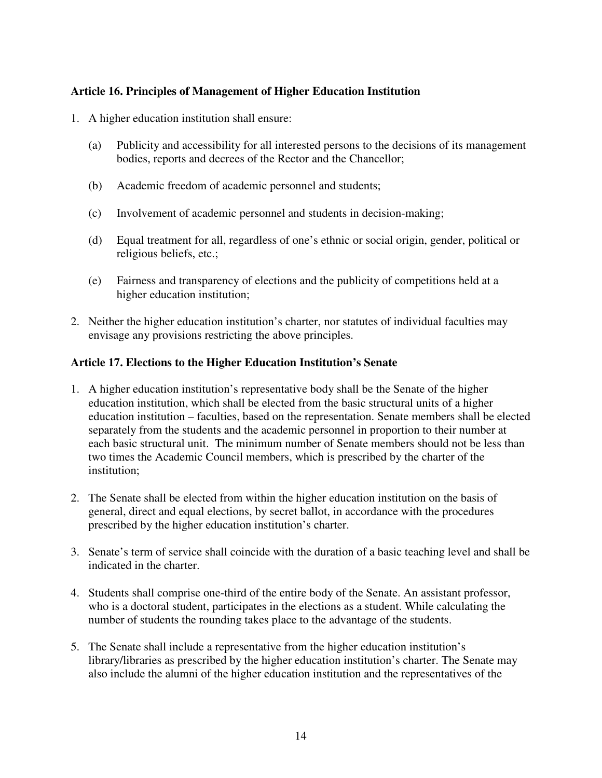## **Article 16. Principles of Management of Higher Education Institution**

- 1. A higher education institution shall ensure:
	- (a) Publicity and accessibility for all interested persons to the decisions of its management bodies, reports and decrees of the Rector and the Chancellor;
	- (b) Academic freedom of academic personnel and students;
	- (c) Involvement of academic personnel and students in decision-making;
	- (d) Equal treatment for all, regardless of one's ethnic or social origin, gender, political or religious beliefs, etc.;
	- (e) Fairness and transparency of elections and the publicity of competitions held at a higher education institution;
- 2. Neither the higher education institution's charter, nor statutes of individual faculties may envisage any provisions restricting the above principles.

### **Article 17. Elections to the Higher Education Institution's Senate**

- 1. A higher education institution's representative body shall be the Senate of the higher education institution, which shall be elected from the basic structural units of a higher education institution – faculties, based on the representation. Senate members shall be elected separately from the students and the academic personnel in proportion to their number at each basic structural unit. The minimum number of Senate members should not be less than two times the Academic Council members, which is prescribed by the charter of the institution;
- 2. The Senate shall be elected from within the higher education institution on the basis of general, direct and equal elections, by secret ballot, in accordance with the procedures prescribed by the higher education institution's charter.
- 3. Senate's term of service shall coincide with the duration of a basic teaching level and shall be indicated in the charter.
- 4. Students shall comprise one-third of the entire body of the Senate. An assistant professor, who is a doctoral student, participates in the elections as a student. While calculating the number of students the rounding takes place to the advantage of the students.
- 5. The Senate shall include a representative from the higher education institution's library/libraries as prescribed by the higher education institution's charter. The Senate may also include the alumni of the higher education institution and the representatives of the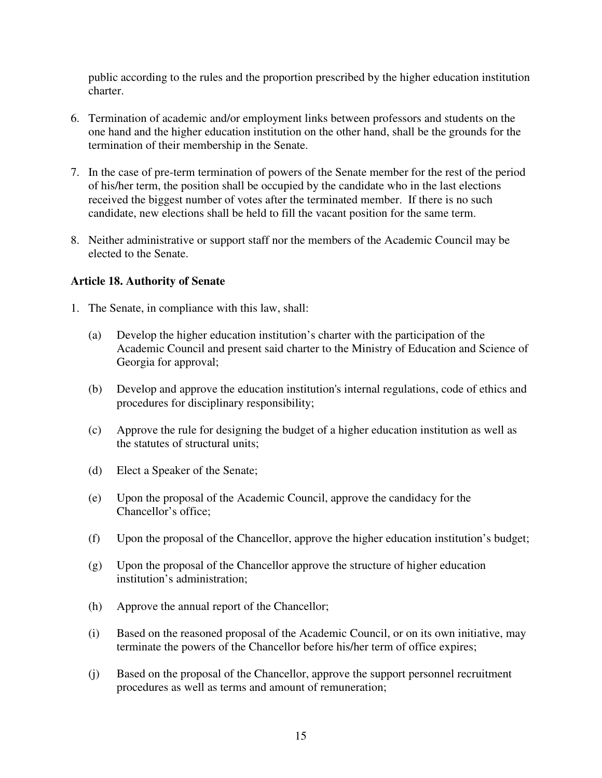public according to the rules and the proportion prescribed by the higher education institution charter.

- 6. Termination of academic and/or employment links between professors and students on the one hand and the higher education institution on the other hand, shall be the grounds for the termination of their membership in the Senate.
- 7. In the case of pre-term termination of powers of the Senate member for the rest of the period of his/her term, the position shall be occupied by the candidate who in the last elections received the biggest number of votes after the terminated member. If there is no such candidate, new elections shall be held to fill the vacant position for the same term.
- 8. Neither administrative or support staff nor the members of the Academic Council may be elected to the Senate.

## **Article 18. Authority of Senate**

- 1. The Senate, in compliance with this law, shall:
	- (a) Develop the higher education institution's charter with the participation of the Academic Council and present said charter to the Ministry of Education and Science of Georgia for approval;
	- (b) Develop and approve the education institution's internal regulations, code of ethics and procedures for disciplinary responsibility;
	- (c) Approve the rule for designing the budget of a higher education institution as well as the statutes of structural units;
	- (d) Elect a Speaker of the Senate;
	- (e) Upon the proposal of the Academic Council, approve the candidacy for the Chancellor's office;
	- (f) Upon the proposal of the Chancellor, approve the higher education institution's budget;
	- (g) Upon the proposal of the Chancellor approve the structure of higher education institution's administration;
	- (h) Approve the annual report of the Chancellor;
	- (i) Based on the reasoned proposal of the Academic Council, or on its own initiative, may terminate the powers of the Chancellor before his/her term of office expires;
	- (j) Based on the proposal of the Chancellor, approve the support personnel recruitment procedures as well as terms and amount of remuneration;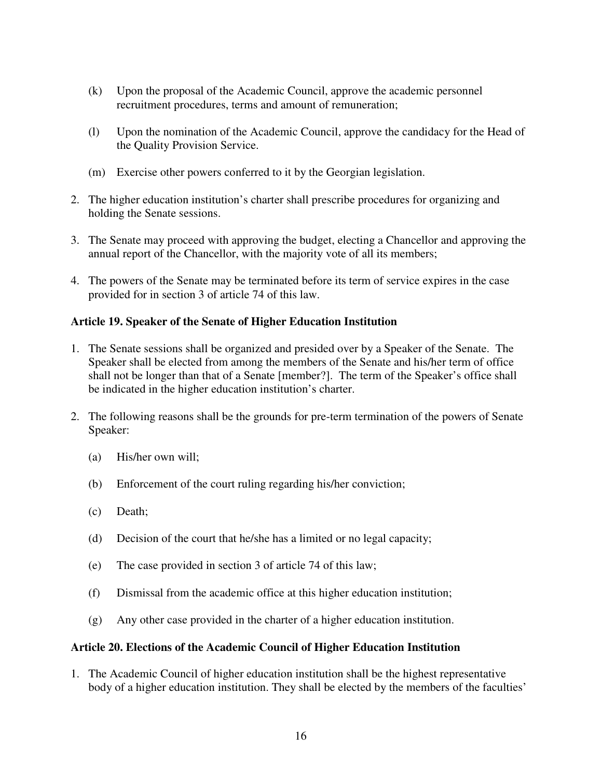- (k) Upon the proposal of the Academic Council, approve the academic personnel recruitment procedures, terms and amount of remuneration;
- (l) Upon the nomination of the Academic Council, approve the candidacy for the Head of the Quality Provision Service.
- (m) Exercise other powers conferred to it by the Georgian legislation.
- 2. The higher education institution's charter shall prescribe procedures for organizing and holding the Senate sessions.
- 3. The Senate may proceed with approving the budget, electing a Chancellor and approving the annual report of the Chancellor, with the majority vote of all its members;
- 4. The powers of the Senate may be terminated before its term of service expires in the case provided for in section 3 of article 74 of this law.

### **Article 19. Speaker of the Senate of Higher Education Institution**

- 1. The Senate sessions shall be organized and presided over by a Speaker of the Senate. The Speaker shall be elected from among the members of the Senate and his/her term of office shall not be longer than that of a Senate [member?]. The term of the Speaker's office shall be indicated in the higher education institution's charter.
- 2. The following reasons shall be the grounds for pre-term termination of the powers of Senate Speaker:
	- (a) His/her own will;
	- (b) Enforcement of the court ruling regarding his/her conviction;
	- (c) Death;
	- (d) Decision of the court that he/she has a limited or no legal capacity;
	- (e) The case provided in section 3 of article 74 of this law;
	- (f) Dismissal from the academic office at this higher education institution;
	- (g) Any other case provided in the charter of a higher education institution.

### **Article 20. Elections of the Academic Council of Higher Education Institution**

1. The Academic Council of higher education institution shall be the highest representative body of a higher education institution. They shall be elected by the members of the faculties'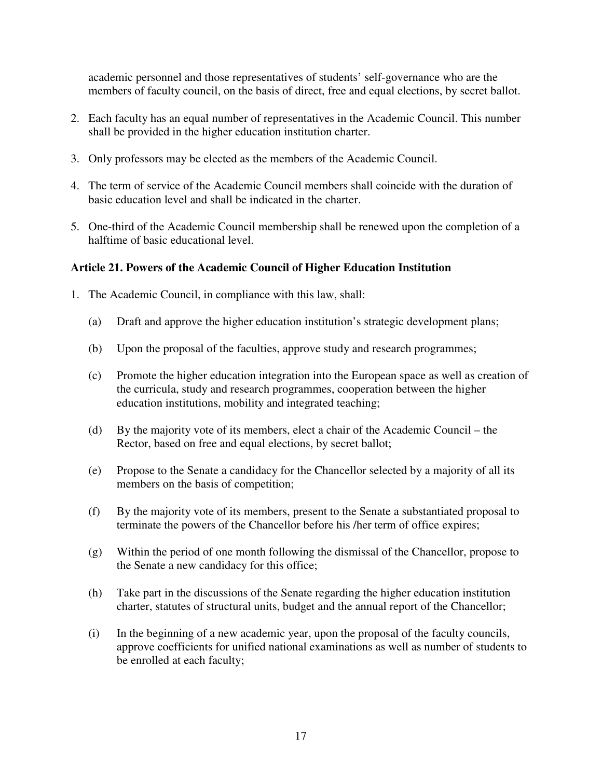academic personnel and those representatives of students' self-governance who are the members of faculty council, on the basis of direct, free and equal elections, by secret ballot.

- 2. Each faculty has an equal number of representatives in the Academic Council. This number shall be provided in the higher education institution charter.
- 3. Only professors may be elected as the members of the Academic Council.
- 4. The term of service of the Academic Council members shall coincide with the duration of basic education level and shall be indicated in the charter.
- 5. One-third of the Academic Council membership shall be renewed upon the completion of a halftime of basic educational level.

## **Article 21. Powers of the Academic Council of Higher Education Institution**

- 1. The Academic Council, in compliance with this law, shall:
	- (a) Draft and approve the higher education institution's strategic development plans;
	- (b) Upon the proposal of the faculties, approve study and research programmes;
	- (c) Promote the higher education integration into the European space as well as creation of the curricula, study and research programmes, cooperation between the higher education institutions, mobility and integrated teaching;
	- (d) By the majority vote of its members, elect a chair of the Academic Council the Rector, based on free and equal elections, by secret ballot;
	- (e) Propose to the Senate a candidacy for the Chancellor selected by a majority of all its members on the basis of competition;
	- (f) By the majority vote of its members, present to the Senate a substantiated proposal to terminate the powers of the Chancellor before his /her term of office expires;
	- (g) Within the period of one month following the dismissal of the Chancellor, propose to the Senate a new candidacy for this office;
	- (h) Take part in the discussions of the Senate regarding the higher education institution charter, statutes of structural units, budget and the annual report of the Chancellor;
	- (i) In the beginning of a new academic year, upon the proposal of the faculty councils, approve coefficients for unified national examinations as well as number of students to be enrolled at each faculty;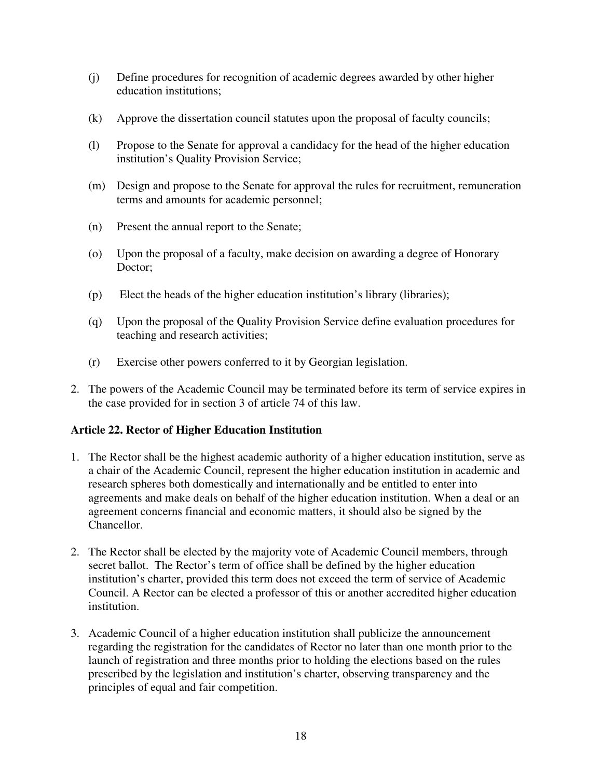- (j) Define procedures for recognition of academic degrees awarded by other higher education institutions;
- (k) Approve the dissertation council statutes upon the proposal of faculty councils;
- (l) Propose to the Senate for approval a candidacy for the head of the higher education institution's Quality Provision Service;
- (m) Design and propose to the Senate for approval the rules for recruitment, remuneration terms and amounts for academic personnel;
- (n) Present the annual report to the Senate;
- (o) Upon the proposal of a faculty, make decision on awarding a degree of Honorary Doctor;
- (p) Elect the heads of the higher education institution's library (libraries);
- (q) Upon the proposal of the Quality Provision Service define evaluation procedures for teaching and research activities;
- (r) Exercise other powers conferred to it by Georgian legislation.
- 2. The powers of the Academic Council may be terminated before its term of service expires in the case provided for in section 3 of article 74 of this law.

## **Article 22. Rector of Higher Education Institution**

- 1. The Rector shall be the highest academic authority of a higher education institution, serve as a chair of the Academic Council, represent the higher education institution in academic and research spheres both domestically and internationally and be entitled to enter into agreements and make deals on behalf of the higher education institution. When a deal or an agreement concerns financial and economic matters, it should also be signed by the Chancellor.
- 2. The Rector shall be elected by the majority vote of Academic Council members, through secret ballot. The Rector's term of office shall be defined by the higher education institution's charter, provided this term does not exceed the term of service of Academic Council. A Rector can be elected a professor of this or another accredited higher education institution.
- 3. Academic Council of a higher education institution shall publicize the announcement regarding the registration for the candidates of Rector no later than one month prior to the launch of registration and three months prior to holding the elections based on the rules prescribed by the legislation and institution's charter, observing transparency and the principles of equal and fair competition.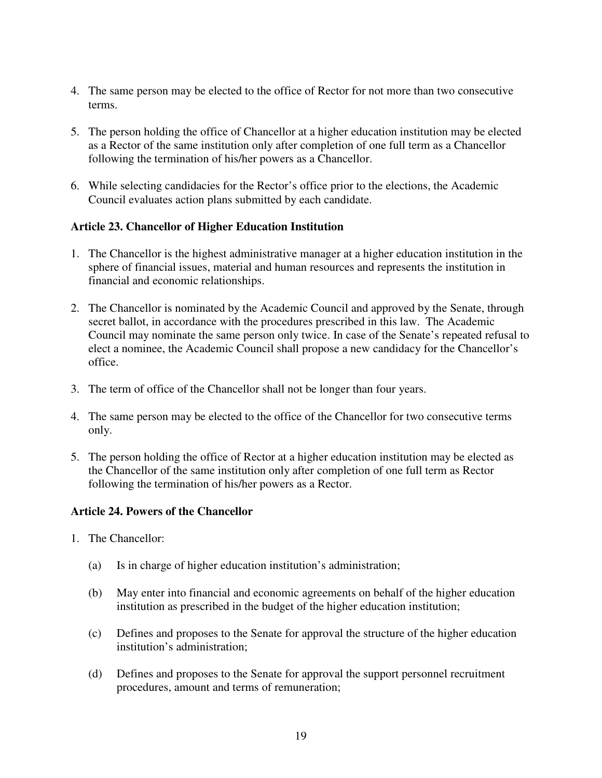- 4. The same person may be elected to the office of Rector for not more than two consecutive terms.
- 5. The person holding the office of Chancellor at a higher education institution may be elected as a Rector of the same institution only after completion of one full term as a Chancellor following the termination of his/her powers as a Chancellor.
- 6. While selecting candidacies for the Rector's office prior to the elections, the Academic Council evaluates action plans submitted by each candidate.

### **Article 23. Chancellor of Higher Education Institution**

- 1. The Chancellor is the highest administrative manager at a higher education institution in the sphere of financial issues, material and human resources and represents the institution in financial and economic relationships.
- 2. The Chancellor is nominated by the Academic Council and approved by the Senate, through secret ballot, in accordance with the procedures prescribed in this law. The Academic Council may nominate the same person only twice. In case of the Senate's repeated refusal to elect a nominee, the Academic Council shall propose a new candidacy for the Chancellor's office.
- 3. The term of office of the Chancellor shall not be longer than four years.
- 4. The same person may be elected to the office of the Chancellor for two consecutive terms only.
- 5. The person holding the office of Rector at a higher education institution may be elected as the Chancellor of the same institution only after completion of one full term as Rector following the termination of his/her powers as a Rector.

### **Article 24. Powers of the Chancellor**

- 1. The Chancellor:
	- (a) Is in charge of higher education institution's administration;
	- (b) May enter into financial and economic agreements on behalf of the higher education institution as prescribed in the budget of the higher education institution;
	- (c) Defines and proposes to the Senate for approval the structure of the higher education institution's administration;
	- (d) Defines and proposes to the Senate for approval the support personnel recruitment procedures, amount and terms of remuneration;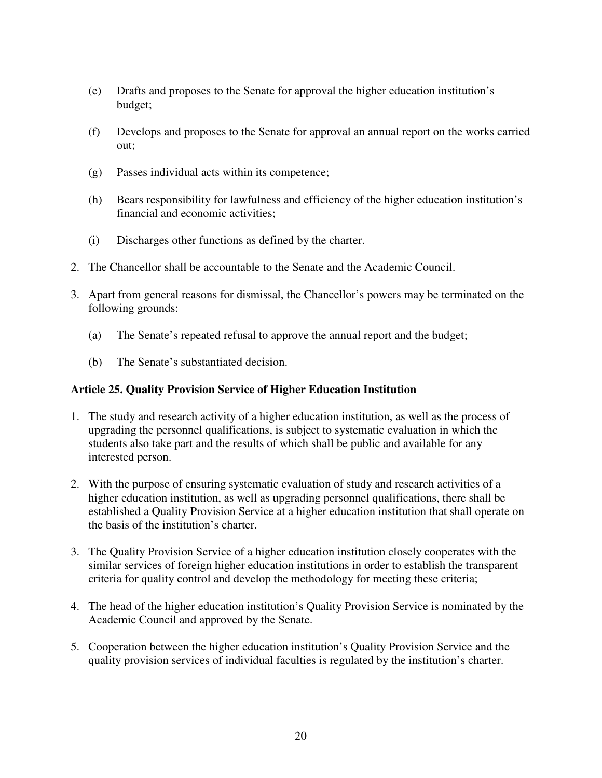- (e) Drafts and proposes to the Senate for approval the higher education institution's budget;
- (f) Develops and proposes to the Senate for approval an annual report on the works carried out;
- (g) Passes individual acts within its competence;
- (h) Bears responsibility for lawfulness and efficiency of the higher education institution's financial and economic activities;
- (i) Discharges other functions as defined by the charter.
- 2. The Chancellor shall be accountable to the Senate and the Academic Council.
- 3. Apart from general reasons for dismissal, the Chancellor's powers may be terminated on the following grounds:
	- (a) The Senate's repeated refusal to approve the annual report and the budget;
	- (b) The Senate's substantiated decision.

### **Article 25. Quality Provision Service of Higher Education Institution**

- 1. The study and research activity of a higher education institution, as well as the process of upgrading the personnel qualifications, is subject to systematic evaluation in which the students also take part and the results of which shall be public and available for any interested person.
- 2. With the purpose of ensuring systematic evaluation of study and research activities of a higher education institution, as well as upgrading personnel qualifications, there shall be established a Quality Provision Service at a higher education institution that shall operate on the basis of the institution's charter.
- 3. The Quality Provision Service of a higher education institution closely cooperates with the similar services of foreign higher education institutions in order to establish the transparent criteria for quality control and develop the methodology for meeting these criteria;
- 4. The head of the higher education institution's Quality Provision Service is nominated by the Academic Council and approved by the Senate.
- 5. Cooperation between the higher education institution's Quality Provision Service and the quality provision services of individual faculties is regulated by the institution's charter.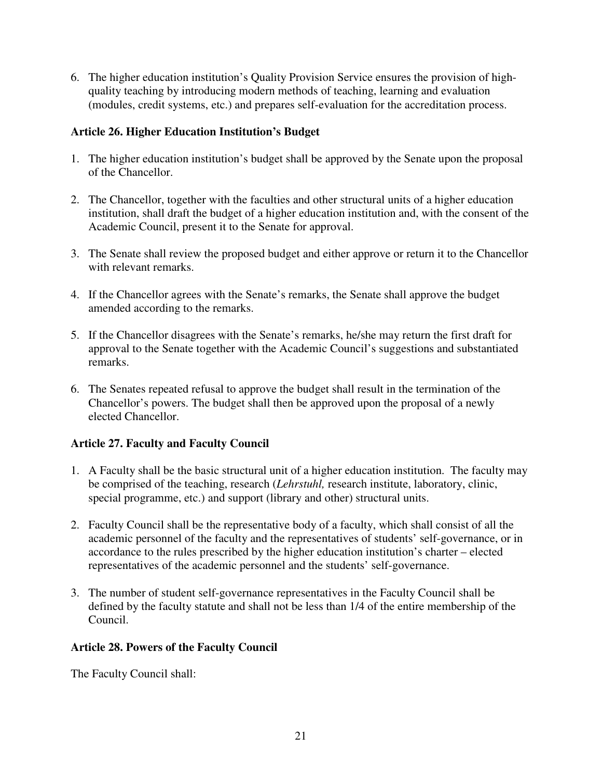6. The higher education institution's Quality Provision Service ensures the provision of highquality teaching by introducing modern methods of teaching, learning and evaluation (modules, credit systems, etc.) and prepares self-evaluation for the accreditation process.

## **Article 26. Higher Education Institution's Budget**

- 1. The higher education institution's budget shall be approved by the Senate upon the proposal of the Chancellor.
- 2. The Chancellor, together with the faculties and other structural units of a higher education institution, shall draft the budget of a higher education institution and, with the consent of the Academic Council, present it to the Senate for approval.
- 3. The Senate shall review the proposed budget and either approve or return it to the Chancellor with relevant remarks.
- 4. If the Chancellor agrees with the Senate's remarks, the Senate shall approve the budget amended according to the remarks.
- 5. If the Chancellor disagrees with the Senate's remarks, he/she may return the first draft for approval to the Senate together with the Academic Council's suggestions and substantiated remarks.
- 6. The Senates repeated refusal to approve the budget shall result in the termination of the Chancellor's powers. The budget shall then be approved upon the proposal of a newly elected Chancellor.

## **Article 27. Faculty and Faculty Council**

- 1. A Faculty shall be the basic structural unit of a higher education institution. The faculty may be comprised of the teaching, research (*Lehrstuhl,* research institute, laboratory, clinic, special programme, etc.) and support (library and other) structural units.
- 2. Faculty Council shall be the representative body of a faculty, which shall consist of all the academic personnel of the faculty and the representatives of students' self-governance, or in accordance to the rules prescribed by the higher education institution's charter – elected representatives of the academic personnel and the students' self-governance.
- 3. The number of student self-governance representatives in the Faculty Council shall be defined by the faculty statute and shall not be less than 1/4 of the entire membership of the Council.

## **Article 28. Powers of the Faculty Council**

The Faculty Council shall: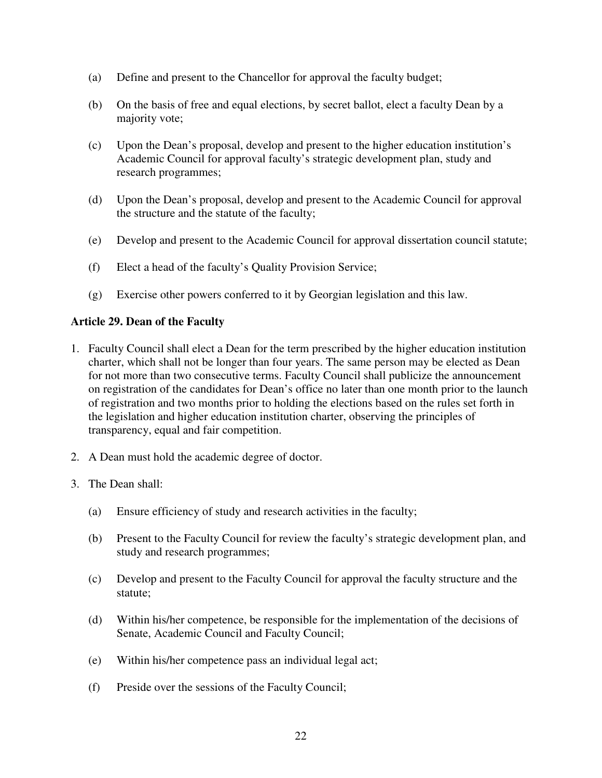- (a) Define and present to the Chancellor for approval the faculty budget;
- (b) On the basis of free and equal elections, by secret ballot, elect a faculty Dean by a majority vote;
- (c) Upon the Dean's proposal, develop and present to the higher education institution's Academic Council for approval faculty's strategic development plan, study and research programmes;
- (d) Upon the Dean's proposal, develop and present to the Academic Council for approval the structure and the statute of the faculty;
- (e) Develop and present to the Academic Council for approval dissertation council statute;
- (f) Elect a head of the faculty's Quality Provision Service;
- (g) Exercise other powers conferred to it by Georgian legislation and this law.

### **Article 29. Dean of the Faculty**

- 1. Faculty Council shall elect a Dean for the term prescribed by the higher education institution charter, which shall not be longer than four years. The same person may be elected as Dean for not more than two consecutive terms. Faculty Council shall publicize the announcement on registration of the candidates for Dean's office no later than one month prior to the launch of registration and two months prior to holding the elections based on the rules set forth in the legislation and higher education institution charter, observing the principles of transparency, equal and fair competition.
- 2. A Dean must hold the academic degree of doctor.
- 3. The Dean shall:
	- (a) Ensure efficiency of study and research activities in the faculty;
	- (b) Present to the Faculty Council for review the faculty's strategic development plan, and study and research programmes;
	- (c) Develop and present to the Faculty Council for approval the faculty structure and the statute;
	- (d) Within his/her competence, be responsible for the implementation of the decisions of Senate, Academic Council and Faculty Council;
	- (e) Within his/her competence pass an individual legal act;
	- (f) Preside over the sessions of the Faculty Council;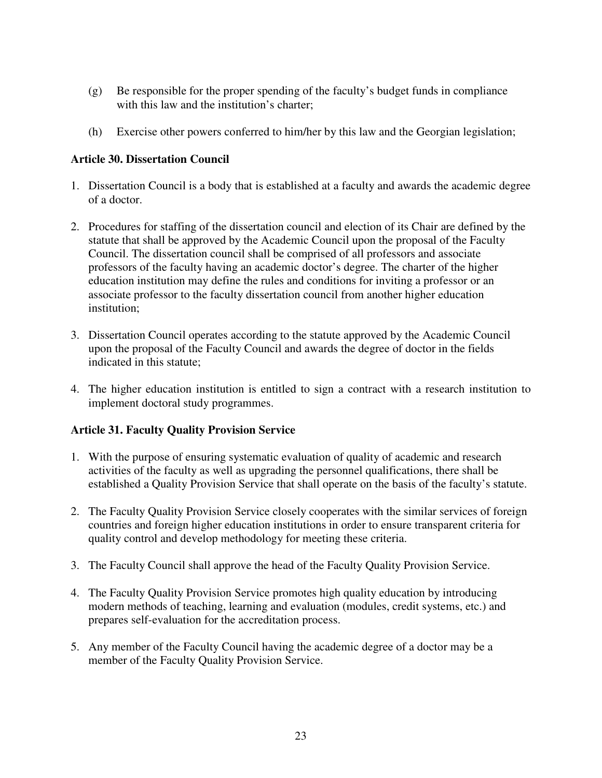- (g) Be responsible for the proper spending of the faculty's budget funds in compliance with this law and the institution's charter;
- (h) Exercise other powers conferred to him/her by this law and the Georgian legislation;

### **Article 30. Dissertation Council**

- 1. Dissertation Council is a body that is established at a faculty and awards the academic degree of a doctor.
- 2. Procedures for staffing of the dissertation council and election of its Chair are defined by the statute that shall be approved by the Academic Council upon the proposal of the Faculty Council. The dissertation council shall be comprised of all professors and associate professors of the faculty having an academic doctor's degree. The charter of the higher education institution may define the rules and conditions for inviting a professor or an associate professor to the faculty dissertation council from another higher education institution;
- 3. Dissertation Council operates according to the statute approved by the Academic Council upon the proposal of the Faculty Council and awards the degree of doctor in the fields indicated in this statute;
- 4. The higher education institution is entitled to sign a contract with a research institution to implement doctoral study programmes.

### **Article 31. Faculty Quality Provision Service**

- 1. With the purpose of ensuring systematic evaluation of quality of academic and research activities of the faculty as well as upgrading the personnel qualifications, there shall be established a Quality Provision Service that shall operate on the basis of the faculty's statute.
- 2. The Faculty Quality Provision Service closely cooperates with the similar services of foreign countries and foreign higher education institutions in order to ensure transparent criteria for quality control and develop methodology for meeting these criteria.
- 3. The Faculty Council shall approve the head of the Faculty Quality Provision Service.
- 4. The Faculty Quality Provision Service promotes high quality education by introducing modern methods of teaching, learning and evaluation (modules, credit systems, etc.) and prepares self-evaluation for the accreditation process.
- 5. Any member of the Faculty Council having the academic degree of a doctor may be a member of the Faculty Quality Provision Service.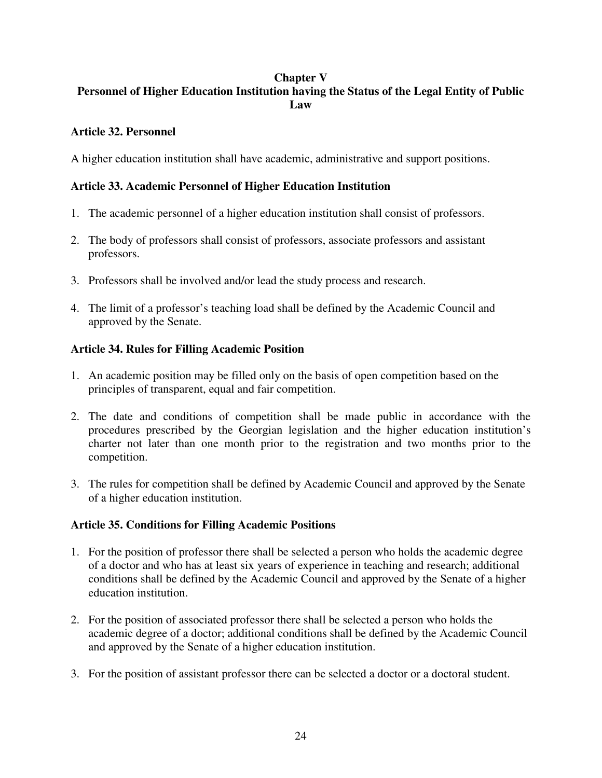### **Chapter V**

# **Personnel of Higher Education Institution having the Status of the Legal Entity of Public Law**

## **Article 32. Personnel**

A higher education institution shall have academic, administrative and support positions.

## **Article 33. Academic Personnel of Higher Education Institution**

- 1. The academic personnel of a higher education institution shall consist of professors.
- 2. The body of professors shall consist of professors, associate professors and assistant professors.
- 3. Professors shall be involved and/or lead the study process and research.
- 4. The limit of a professor's teaching load shall be defined by the Academic Council and approved by the Senate.

## **Article 34. Rules for Filling Academic Position**

- 1. An academic position may be filled only on the basis of open competition based on the principles of transparent, equal and fair competition.
- 2. The date and conditions of competition shall be made public in accordance with the procedures prescribed by the Georgian legislation and the higher education institution's charter not later than one month prior to the registration and two months prior to the competition.
- 3. The rules for competition shall be defined by Academic Council and approved by the Senate of a higher education institution.

## **Article 35. Conditions for Filling Academic Positions**

- 1. For the position of professor there shall be selected a person who holds the academic degree of a doctor and who has at least six years of experience in teaching and research; additional conditions shall be defined by the Academic Council and approved by the Senate of a higher education institution.
- 2. For the position of associated professor there shall be selected a person who holds the academic degree of a doctor; additional conditions shall be defined by the Academic Council and approved by the Senate of a higher education institution.
- 3. For the position of assistant professor there can be selected a doctor or a doctoral student.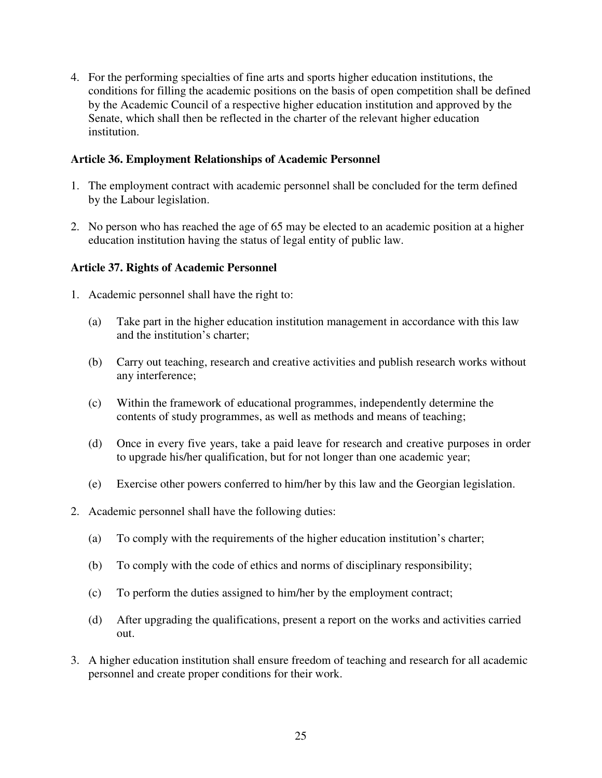4. For the performing specialties of fine arts and sports higher education institutions, the conditions for filling the academic positions on the basis of open competition shall be defined by the Academic Council of a respective higher education institution and approved by the Senate, which shall then be reflected in the charter of the relevant higher education institution.

### **Article 36. Employment Relationships of Academic Personnel**

- 1. The employment contract with academic personnel shall be concluded for the term defined by the Labour legislation.
- 2. No person who has reached the age of 65 may be elected to an academic position at a higher education institution having the status of legal entity of public law.

## **Article 37. Rights of Academic Personnel**

- 1. Academic personnel shall have the right to:
	- (a) Take part in the higher education institution management in accordance with this law and the institution's charter;
	- (b) Carry out teaching, research and creative activities and publish research works without any interference;
	- (c) Within the framework of educational programmes, independently determine the contents of study programmes, as well as methods and means of teaching;
	- (d) Once in every five years, take a paid leave for research and creative purposes in order to upgrade his/her qualification, but for not longer than one academic year;
	- (e) Exercise other powers conferred to him/her by this law and the Georgian legislation.
- 2. Academic personnel shall have the following duties:
	- (a) To comply with the requirements of the higher education institution's charter;
	- (b) To comply with the code of ethics and norms of disciplinary responsibility;
	- (c) To perform the duties assigned to him/her by the employment contract;
	- (d) After upgrading the qualifications, present a report on the works and activities carried out.
- 3. A higher education institution shall ensure freedom of teaching and research for all academic personnel and create proper conditions for their work.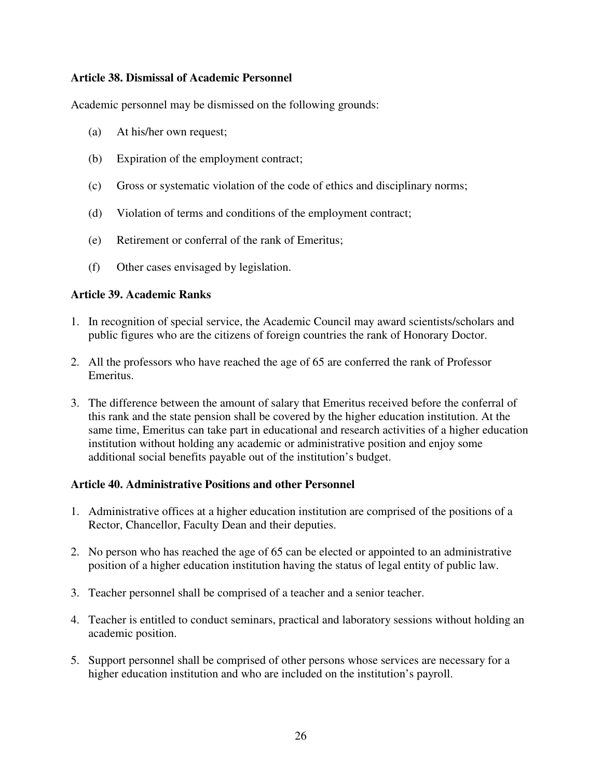### **Article 38. Dismissal of Academic Personnel**

Academic personnel may be dismissed on the following grounds:

- (a) At his/her own request;
- (b) Expiration of the employment contract;
- (c) Gross or systematic violation of the code of ethics and disciplinary norms;
- (d) Violation of terms and conditions of the employment contract;
- (e) Retirement or conferral of the rank of Emeritus;
- (f) Other cases envisaged by legislation.

### **Article 39. Academic Ranks**

- 1. In recognition of special service, the Academic Council may award scientists/scholars and public figures who are the citizens of foreign countries the rank of Honorary Doctor.
- 2. All the professors who have reached the age of 65 are conferred the rank of Professor Emeritus.
- 3. The difference between the amount of salary that Emeritus received before the conferral of this rank and the state pension shall be covered by the higher education institution. At the same time, Emeritus can take part in educational and research activities of a higher education institution without holding any academic or administrative position and enjoy some additional social benefits payable out of the institution's budget.

### **Article 40. Administrative Positions and other Personnel**

- 1. Administrative offices at a higher education institution are comprised of the positions of a Rector, Chancellor, Faculty Dean and their deputies.
- 2. No person who has reached the age of 65 can be elected or appointed to an administrative position of a higher education institution having the status of legal entity of public law.
- 3. Teacher personnel shall be comprised of a teacher and a senior teacher.
- 4. Teacher is entitled to conduct seminars, practical and laboratory sessions without holding an academic position.
- 5. Support personnel shall be comprised of other persons whose services are necessary for a higher education institution and who are included on the institution's payroll.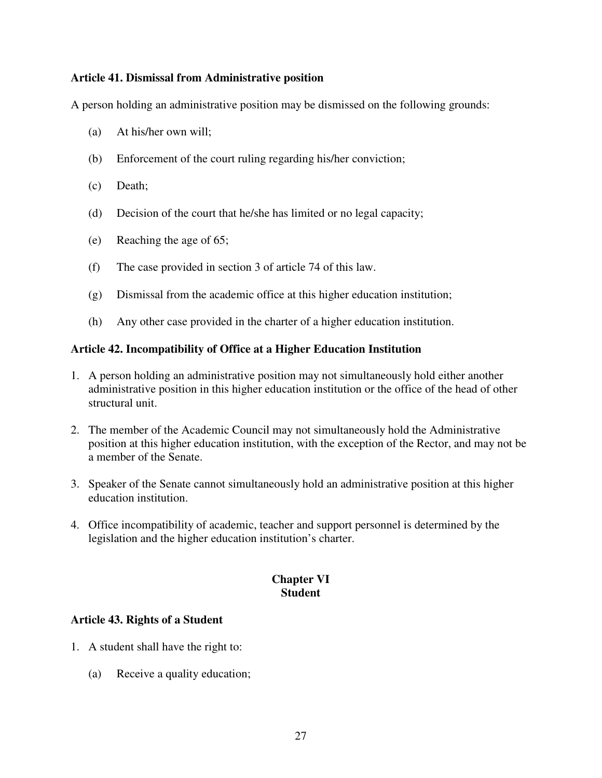### **Article 41. Dismissal from Administrative position**

A person holding an administrative position may be dismissed on the following grounds:

- (a) At his/her own will;
- (b) Enforcement of the court ruling regarding his/her conviction;
- (c) Death;
- (d) Decision of the court that he/she has limited or no legal capacity;
- (e) Reaching the age of 65;
- (f) The case provided in section 3 of article 74 of this law.
- (g) Dismissal from the academic office at this higher education institution;
- (h) Any other case provided in the charter of a higher education institution.

### **Article 42. Incompatibility of Office at a Higher Education Institution**

- 1. A person holding an administrative position may not simultaneously hold either another administrative position in this higher education institution or the office of the head of other structural unit.
- 2. The member of the Academic Council may not simultaneously hold the Administrative position at this higher education institution, with the exception of the Rector, and may not be a member of the Senate.
- 3. Speaker of the Senate cannot simultaneously hold an administrative position at this higher education institution.
- 4. Office incompatibility of academic, teacher and support personnel is determined by the legislation and the higher education institution's charter.

## **Chapter VI Student**

### **Article 43. Rights of a Student**

- 1. A student shall have the right to:
	- (a) Receive a quality education;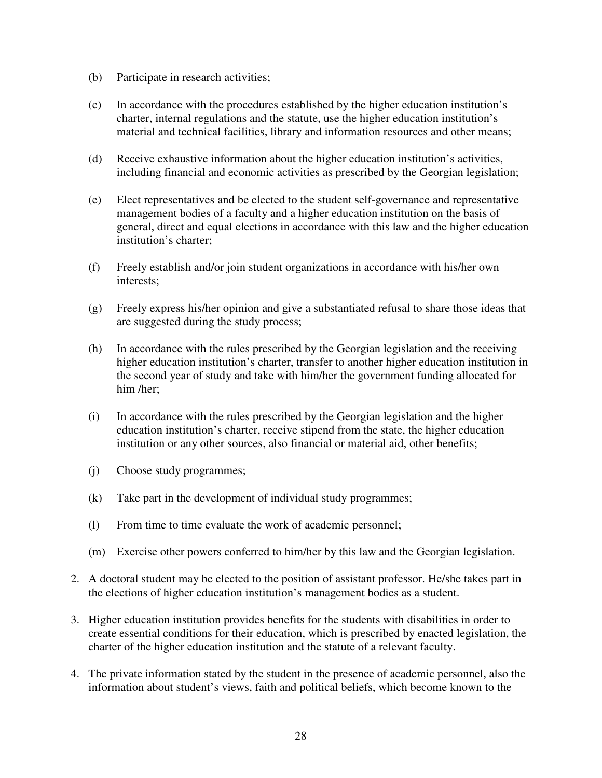- (b) Participate in research activities;
- (c) In accordance with the procedures established by the higher education institution's charter, internal regulations and the statute, use the higher education institution's material and technical facilities, library and information resources and other means;
- (d) Receive exhaustive information about the higher education institution's activities, including financial and economic activities as prescribed by the Georgian legislation;
- (e) Elect representatives and be elected to the student self-governance and representative management bodies of a faculty and a higher education institution on the basis of general, direct and equal elections in accordance with this law and the higher education institution's charter;
- (f) Freely establish and/or join student organizations in accordance with his/her own interests;
- (g) Freely express his/her opinion and give a substantiated refusal to share those ideas that are suggested during the study process;
- (h) In accordance with the rules prescribed by the Georgian legislation and the receiving higher education institution's charter, transfer to another higher education institution in the second year of study and take with him/her the government funding allocated for him /her;
- (i) In accordance with the rules prescribed by the Georgian legislation and the higher education institution's charter, receive stipend from the state, the higher education institution or any other sources, also financial or material aid, other benefits;
- (j) Choose study programmes;
- (k) Take part in the development of individual study programmes;
- (l) From time to time evaluate the work of academic personnel;
- (m) Exercise other powers conferred to him/her by this law and the Georgian legislation.
- 2. A doctoral student may be elected to the position of assistant professor. He/she takes part in the elections of higher education institution's management bodies as a student.
- 3. Higher education institution provides benefits for the students with disabilities in order to create essential conditions for their education, which is prescribed by enacted legislation, the charter of the higher education institution and the statute of a relevant faculty.
- 4. The private information stated by the student in the presence of academic personnel, also the information about student's views, faith and political beliefs, which become known to the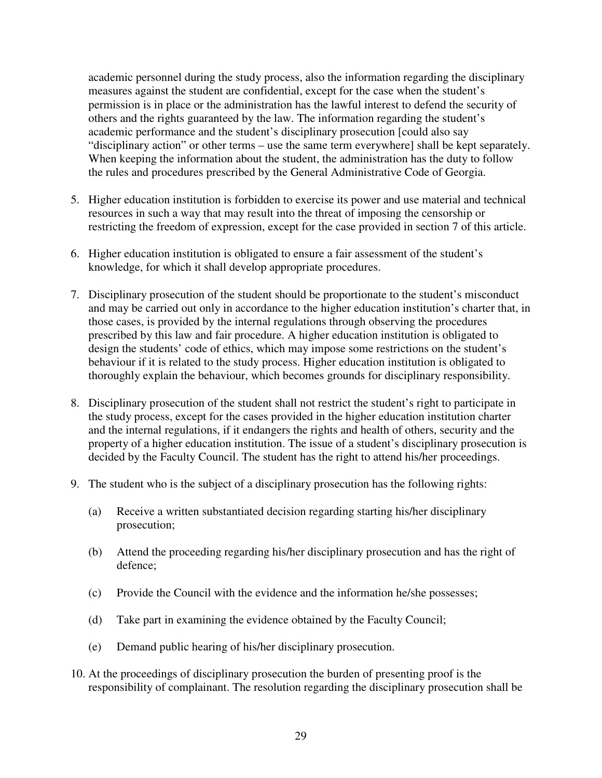academic personnel during the study process, also the information regarding the disciplinary measures against the student are confidential, except for the case when the student's permission is in place or the administration has the lawful interest to defend the security of others and the rights guaranteed by the law. The information regarding the student's academic performance and the student's disciplinary prosecution [could also say "disciplinary action" or other terms – use the same term everywhere] shall be kept separately. When keeping the information about the student, the administration has the duty to follow the rules and procedures prescribed by the General Administrative Code of Georgia.

- 5. Higher education institution is forbidden to exercise its power and use material and technical resources in such a way that may result into the threat of imposing the censorship or restricting the freedom of expression, except for the case provided in section 7 of this article.
- 6. Higher education institution is obligated to ensure a fair assessment of the student's knowledge, for which it shall develop appropriate procedures.
- 7. Disciplinary prosecution of the student should be proportionate to the student's misconduct and may be carried out only in accordance to the higher education institution's charter that, in those cases, is provided by the internal regulations through observing the procedures prescribed by this law and fair procedure. A higher education institution is obligated to design the students' code of ethics, which may impose some restrictions on the student's behaviour if it is related to the study process. Higher education institution is obligated to thoroughly explain the behaviour, which becomes grounds for disciplinary responsibility.
- 8. Disciplinary prosecution of the student shall not restrict the student's right to participate in the study process, except for the cases provided in the higher education institution charter and the internal regulations, if it endangers the rights and health of others, security and the property of a higher education institution. The issue of a student's disciplinary prosecution is decided by the Faculty Council. The student has the right to attend his/her proceedings.
- 9. The student who is the subject of a disciplinary prosecution has the following rights:
	- (a) Receive a written substantiated decision regarding starting his/her disciplinary prosecution;
	- (b) Attend the proceeding regarding his/her disciplinary prosecution and has the right of defence;
	- (c) Provide the Council with the evidence and the information he/she possesses;
	- (d) Take part in examining the evidence obtained by the Faculty Council;
	- (e) Demand public hearing of his/her disciplinary prosecution.
- 10. At the proceedings of disciplinary prosecution the burden of presenting proof is the responsibility of complainant. The resolution regarding the disciplinary prosecution shall be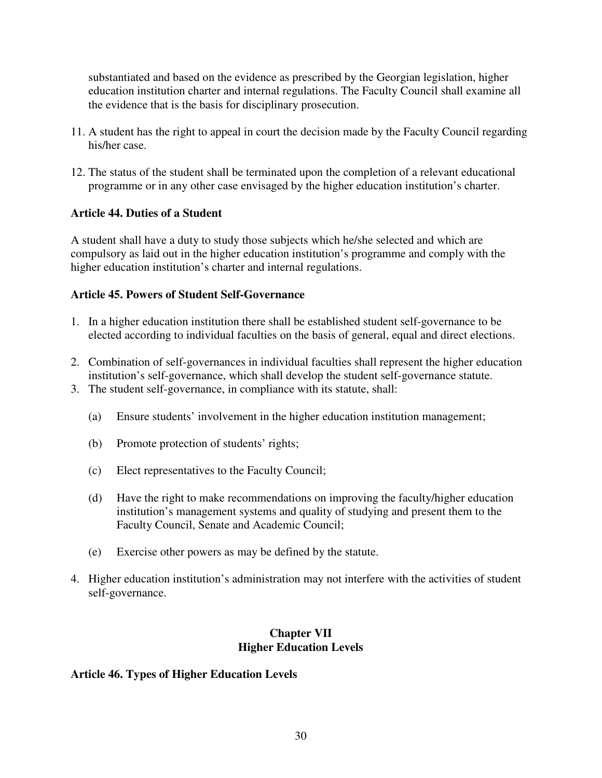substantiated and based on the evidence as prescribed by the Georgian legislation, higher education institution charter and internal regulations. The Faculty Council shall examine all the evidence that is the basis for disciplinary prosecution.

- 11. A student has the right to appeal in court the decision made by the Faculty Council regarding his/her case.
- 12. The status of the student shall be terminated upon the completion of a relevant educational programme or in any other case envisaged by the higher education institution's charter.

## **Article 44. Duties of a Student**

A student shall have a duty to study those subjects which he/she selected and which are compulsory as laid out in the higher education institution's programme and comply with the higher education institution's charter and internal regulations.

## **Article 45. Powers of Student Self-Governance**

- 1. In a higher education institution there shall be established student self-governance to be elected according to individual faculties on the basis of general, equal and direct elections.
- 2. Combination of self-governances in individual faculties shall represent the higher education institution's self-governance, which shall develop the student self-governance statute.
- 3. The student self-governance, in compliance with its statute, shall:
	- (a) Ensure students' involvement in the higher education institution management;
	- (b) Promote protection of students' rights;
	- (c) Elect representatives to the Faculty Council;
	- (d) Have the right to make recommendations on improving the faculty/higher education institution's management systems and quality of studying and present them to the Faculty Council, Senate and Academic Council;
	- (e) Exercise other powers as may be defined by the statute.
- 4. Higher education institution's administration may not interfere with the activities of student self-governance.

## **Chapter VII Higher Education Levels**

## **Article 46. Types of Higher Education Levels**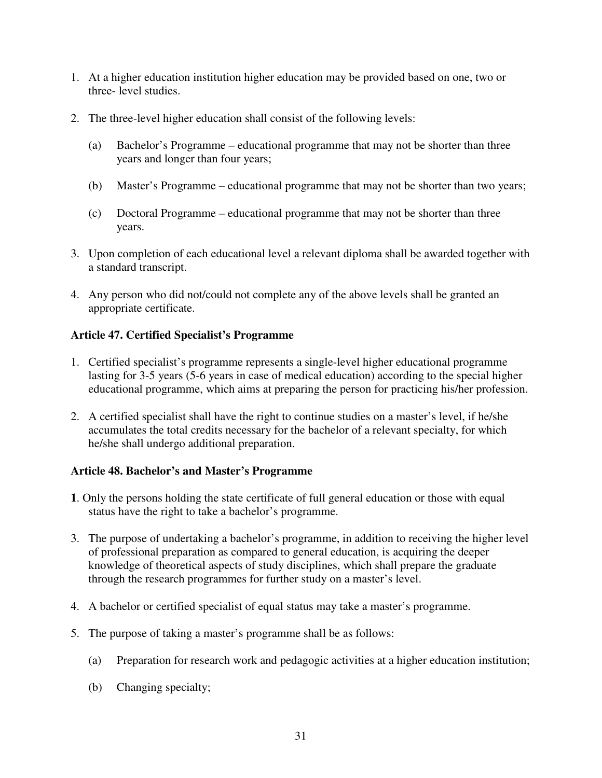- 1. At a higher education institution higher education may be provided based on one, two or three- level studies.
- 2. The three-level higher education shall consist of the following levels:
	- (a) Bachelor's Programme educational programme that may not be shorter than three years and longer than four years;
	- (b) Master's Programme educational programme that may not be shorter than two years;
	- (c) Doctoral Programme educational programme that may not be shorter than three years.
- 3. Upon completion of each educational level a relevant diploma shall be awarded together with a standard transcript.
- 4. Any person who did not/could not complete any of the above levels shall be granted an appropriate certificate.

## **Article 47. Certified Specialist's Programme**

- 1. Certified specialist's programme represents a single-level higher educational programme lasting for 3-5 years (5-6 years in case of medical education) according to the special higher educational programme, which aims at preparing the person for practicing his/her profession.
- 2. A certified specialist shall have the right to continue studies on a master's level, if he/she accumulates the total credits necessary for the bachelor of a relevant specialty, for which he/she shall undergo additional preparation.

## **Article 48. Bachelor's and Master's Programme**

- **1**. Only the persons holding the state certificate of full general education or those with equal status have the right to take a bachelor's programme.
- 3. The purpose of undertaking a bachelor's programme, in addition to receiving the higher level of professional preparation as compared to general education, is acquiring the deeper knowledge of theoretical aspects of study disciplines, which shall prepare the graduate through the research programmes for further study on a master's level.
- 4. A bachelor or certified specialist of equal status may take a master's programme.
- 5. The purpose of taking a master's programme shall be as follows:
	- (a) Preparation for research work and pedagogic activities at a higher education institution;
	- (b) Changing specialty;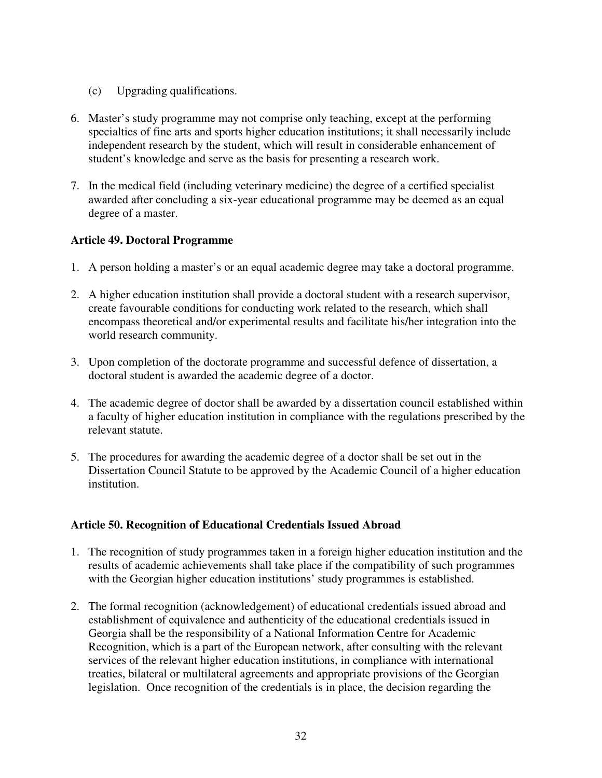- (c) Upgrading qualifications.
- 6. Master's study programme may not comprise only teaching, except at the performing specialties of fine arts and sports higher education institutions; it shall necessarily include independent research by the student, which will result in considerable enhancement of student's knowledge and serve as the basis for presenting a research work.
- 7. In the medical field (including veterinary medicine) the degree of a certified specialist awarded after concluding a six-year educational programme may be deemed as an equal degree of a master.

### **Article 49. Doctoral Programme**

- 1. A person holding a master's or an equal academic degree may take a doctoral programme.
- 2. A higher education institution shall provide a doctoral student with a research supervisor, create favourable conditions for conducting work related to the research, which shall encompass theoretical and/or experimental results and facilitate his/her integration into the world research community.
- 3. Upon completion of the doctorate programme and successful defence of dissertation, a doctoral student is awarded the academic degree of a doctor.
- 4. The academic degree of doctor shall be awarded by a dissertation council established within a faculty of higher education institution in compliance with the regulations prescribed by the relevant statute.
- 5. The procedures for awarding the academic degree of a doctor shall be set out in the Dissertation Council Statute to be approved by the Academic Council of a higher education institution.

### **Article 50. Recognition of Educational Credentials Issued Abroad**

- 1. The recognition of study programmes taken in a foreign higher education institution and the results of academic achievements shall take place if the compatibility of such programmes with the Georgian higher education institutions' study programmes is established.
- 2. The formal recognition (acknowledgement) of educational credentials issued abroad and establishment of equivalence and authenticity of the educational credentials issued in Georgia shall be the responsibility of a National Information Centre for Academic Recognition, which is a part of the European network, after consulting with the relevant services of the relevant higher education institutions, in compliance with international treaties, bilateral or multilateral agreements and appropriate provisions of the Georgian legislation. Once recognition of the credentials is in place, the decision regarding the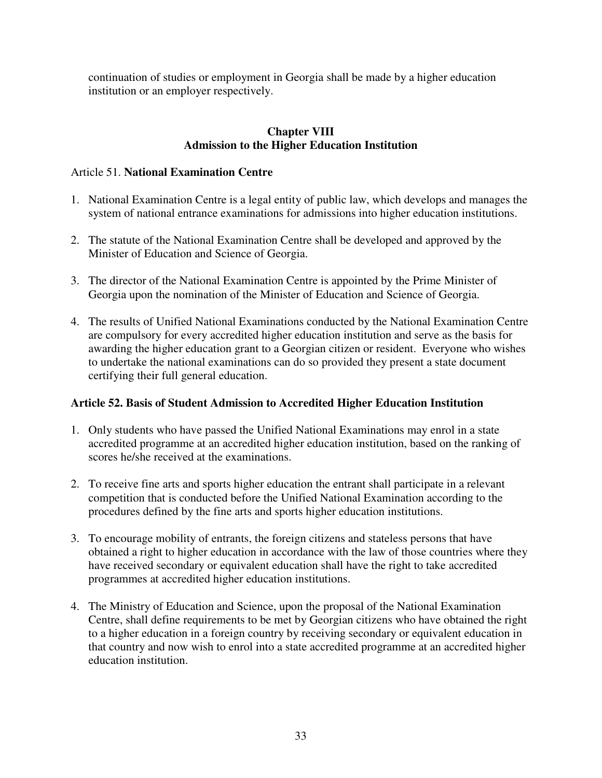continuation of studies or employment in Georgia shall be made by a higher education institution or an employer respectively.

## **Chapter VIII Admission to the Higher Education Institution**

## Article 51. **National Examination Centre**

- 1. National Examination Centre is a legal entity of public law, which develops and manages the system of national entrance examinations for admissions into higher education institutions.
- 2. The statute of the National Examination Centre shall be developed and approved by the Minister of Education and Science of Georgia.
- 3. The director of the National Examination Centre is appointed by the Prime Minister of Georgia upon the nomination of the Minister of Education and Science of Georgia.
- 4. The results of Unified National Examinations conducted by the National Examination Centre are compulsory for every accredited higher education institution and serve as the basis for awarding the higher education grant to a Georgian citizen or resident. Everyone who wishes to undertake the national examinations can do so provided they present a state document certifying their full general education.

## **Article 52. Basis of Student Admission to Accredited Higher Education Institution**

- 1. Only students who have passed the Unified National Examinations may enrol in a state accredited programme at an accredited higher education institution, based on the ranking of scores he/she received at the examinations.
- 2. To receive fine arts and sports higher education the entrant shall participate in a relevant competition that is conducted before the Unified National Examination according to the procedures defined by the fine arts and sports higher education institutions.
- 3. To encourage mobility of entrants, the foreign citizens and stateless persons that have obtained a right to higher education in accordance with the law of those countries where they have received secondary or equivalent education shall have the right to take accredited programmes at accredited higher education institutions.
- 4. The Ministry of Education and Science, upon the proposal of the National Examination Centre, shall define requirements to be met by Georgian citizens who have obtained the right to a higher education in a foreign country by receiving secondary or equivalent education in that country and now wish to enrol into a state accredited programme at an accredited higher education institution.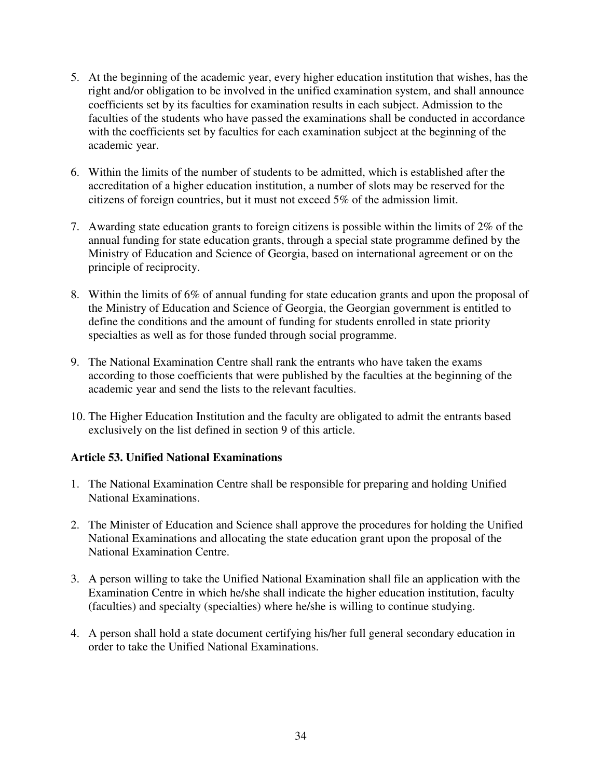- 5. At the beginning of the academic year, every higher education institution that wishes, has the right and/or obligation to be involved in the unified examination system, and shall announce coefficients set by its faculties for examination results in each subject. Admission to the faculties of the students who have passed the examinations shall be conducted in accordance with the coefficients set by faculties for each examination subject at the beginning of the academic year.
- 6. Within the limits of the number of students to be admitted, which is established after the accreditation of a higher education institution, a number of slots may be reserved for the citizens of foreign countries, but it must not exceed 5% of the admission limit.
- 7. Awarding state education grants to foreign citizens is possible within the limits of 2% of the annual funding for state education grants, through a special state programme defined by the Ministry of Education and Science of Georgia, based on international agreement or on the principle of reciprocity.
- 8. Within the limits of 6% of annual funding for state education grants and upon the proposal of the Ministry of Education and Science of Georgia, the Georgian government is entitled to define the conditions and the amount of funding for students enrolled in state priority specialties as well as for those funded through social programme.
- 9. The National Examination Centre shall rank the entrants who have taken the exams according to those coefficients that were published by the faculties at the beginning of the academic year and send the lists to the relevant faculties.
- 10. The Higher Education Institution and the faculty are obligated to admit the entrants based exclusively on the list defined in section 9 of this article.

## **Article 53. Unified National Examinations**

- 1. The National Examination Centre shall be responsible for preparing and holding Unified National Examinations.
- 2. The Minister of Education and Science shall approve the procedures for holding the Unified National Examinations and allocating the state education grant upon the proposal of the National Examination Centre.
- 3. A person willing to take the Unified National Examination shall file an application with the Examination Centre in which he/she shall indicate the higher education institution, faculty (faculties) and specialty (specialties) where he/she is willing to continue studying.
- 4. A person shall hold a state document certifying his/her full general secondary education in order to take the Unified National Examinations.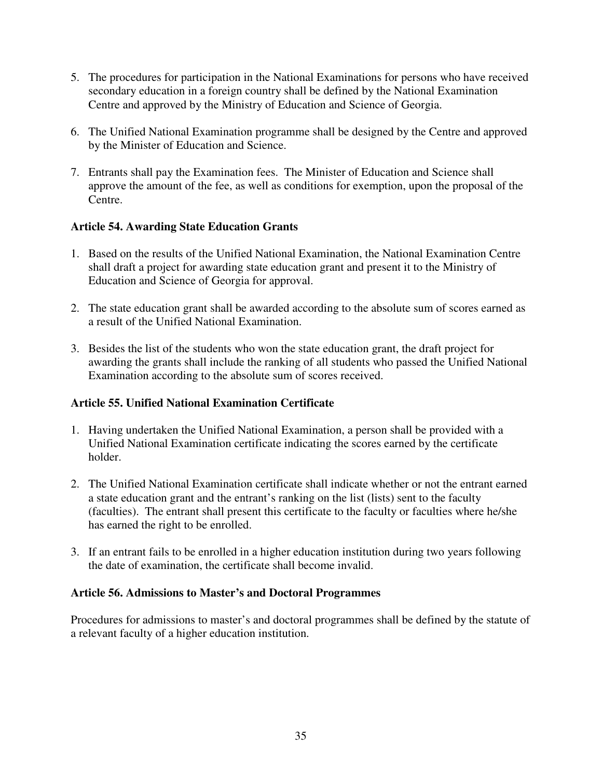- 5. The procedures for participation in the National Examinations for persons who have received secondary education in a foreign country shall be defined by the National Examination Centre and approved by the Ministry of Education and Science of Georgia.
- 6. The Unified National Examination programme shall be designed by the Centre and approved by the Minister of Education and Science.
- 7. Entrants shall pay the Examination fees. The Minister of Education and Science shall approve the amount of the fee, as well as conditions for exemption, upon the proposal of the Centre.

## **Article 54. Awarding State Education Grants**

- 1. Based on the results of the Unified National Examination, the National Examination Centre shall draft a project for awarding state education grant and present it to the Ministry of Education and Science of Georgia for approval.
- 2. The state education grant shall be awarded according to the absolute sum of scores earned as a result of the Unified National Examination.
- 3. Besides the list of the students who won the state education grant, the draft project for awarding the grants shall include the ranking of all students who passed the Unified National Examination according to the absolute sum of scores received.

## **Article 55. Unified National Examination Certificate**

- 1. Having undertaken the Unified National Examination, a person shall be provided with a Unified National Examination certificate indicating the scores earned by the certificate holder.
- 2. The Unified National Examination certificate shall indicate whether or not the entrant earned a state education grant and the entrant's ranking on the list (lists) sent to the faculty (faculties). The entrant shall present this certificate to the faculty or faculties where he/she has earned the right to be enrolled.
- 3. If an entrant fails to be enrolled in a higher education institution during two years following the date of examination, the certificate shall become invalid.

### **Article 56. Admissions to Master's and Doctoral Programmes**

Procedures for admissions to master's and doctoral programmes shall be defined by the statute of a relevant faculty of a higher education institution.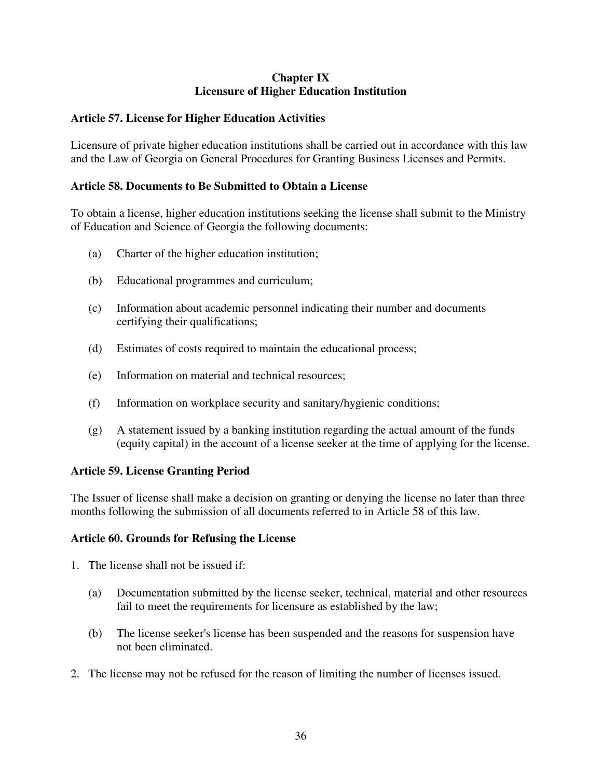## **Chapter IX Licensure of Higher Education Institution**

## **Article 57. License for Higher Education Activities**

Licensure of private higher education institutions shall be carried out in accordance with this law and the Law of Georgia on General Procedures for Granting Business Licenses and Permits.

### **Article 58. Documents to Be Submitted to Obtain a License**

To obtain a license, higher education institutions seeking the license shall submit to the Ministry of Education and Science of Georgia the following documents:

- (a) Charter of the higher education institution;
- (b) Educational programmes and curriculum;
- (c) Information about academic personnel indicating their number and documents certifying their qualifications;
- (d) Estimates of costs required to maintain the educational process;
- (e) Information on material and technical resources;
- (f) Information on workplace security and sanitary/hygienic conditions;
- $(g)$  A statement issued by a banking institution regarding the actual amount of the funds (equity capital) in the account of a license seeker at the time of applying for the license.

### **Article 59. License Granting Period**

The Issuer of license shall make a decision on granting or denying the license no later than three months following the submission of all documents referred to in Article 58 of this law.

### **Article 60. Grounds for Refusing the License**

- 1. The license shall not be issued if:
	- (a) Documentation submitted by the license seeker, technical, material and other resources fail to meet the requirements for licensure as established by the law;
	- (b) The license seeker's license has been suspended and the reasons for suspension have not been eliminated.
- 2. The license may not be refused for the reason of limiting the number of licenses issued.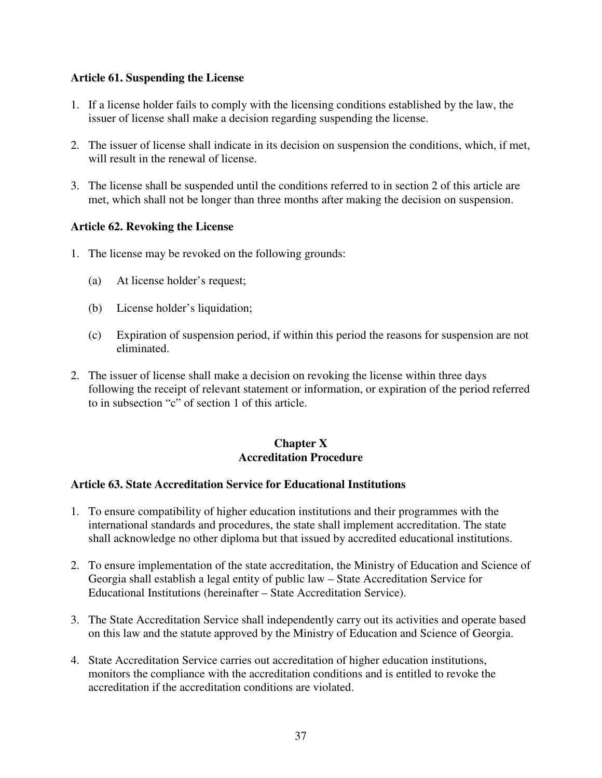### **Article 61. Suspending the License**

- 1. If a license holder fails to comply with the licensing conditions established by the law, the issuer of license shall make a decision regarding suspending the license.
- 2. The issuer of license shall indicate in its decision on suspension the conditions, which, if met, will result in the renewal of license.
- 3. The license shall be suspended until the conditions referred to in section 2 of this article are met, which shall not be longer than three months after making the decision on suspension.

## **Article 62. Revoking the License**

- 1. The license may be revoked on the following grounds:
	- (a) At license holder's request;
	- (b) License holder's liquidation;
	- (c) Expiration of suspension period, if within this period the reasons for suspension are not eliminated.
- 2. The issuer of license shall make a decision on revoking the license within three days following the receipt of relevant statement or information, or expiration of the period referred to in subsection "c" of section 1 of this article.

### **Chapter X Accreditation Procedure**

### **Article 63. State Accreditation Service for Educational Institutions**

- 1. To ensure compatibility of higher education institutions and their programmes with the international standards and procedures, the state shall implement accreditation. The state shall acknowledge no other diploma but that issued by accredited educational institutions.
- 2. To ensure implementation of the state accreditation, the Ministry of Education and Science of Georgia shall establish a legal entity of public law – State Accreditation Service for Educational Institutions (hereinafter – State Accreditation Service).
- 3. The State Accreditation Service shall independently carry out its activities and operate based on this law and the statute approved by the Ministry of Education and Science of Georgia.
- 4. State Accreditation Service carries out accreditation of higher education institutions, monitors the compliance with the accreditation conditions and is entitled to revoke the accreditation if the accreditation conditions are violated.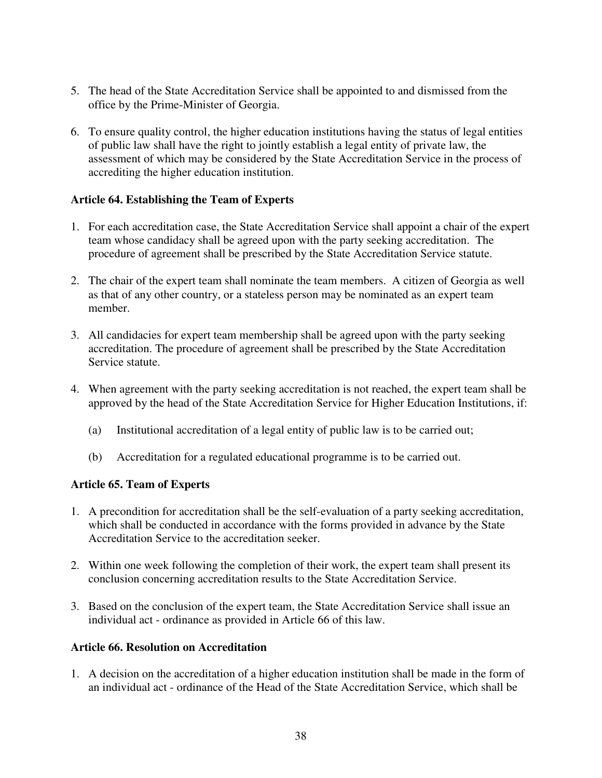- 5. The head of the State Accreditation Service shall be appointed to and dismissed from the office by the Prime-Minister of Georgia.
- 6. To ensure quality control, the higher education institutions having the status of legal entities of public law shall have the right to jointly establish a legal entity of private law, the assessment of which may be considered by the State Accreditation Service in the process of accrediting the higher education institution.

### **Article 64. Establishing the Team of Experts**

- 1. For each accreditation case, the State Accreditation Service shall appoint a chair of the expert team whose candidacy shall be agreed upon with the party seeking accreditation. The procedure of agreement shall be prescribed by the State Accreditation Service statute.
- 2. The chair of the expert team shall nominate the team members. A citizen of Georgia as well as that of any other country, or a stateless person may be nominated as an expert team member.
- 3. All candidacies for expert team membership shall be agreed upon with the party seeking accreditation. The procedure of agreement shall be prescribed by the State Accreditation Service statute.
- 4. When agreement with the party seeking accreditation is not reached, the expert team shall be approved by the head of the State Accreditation Service for Higher Education Institutions, if:
	- (a) Institutional accreditation of a legal entity of public law is to be carried out;
	- (b) Accreditation for a regulated educational programme is to be carried out.

### **Article 65. Team of Experts**

- 1. A precondition for accreditation shall be the self-evaluation of a party seeking accreditation, which shall be conducted in accordance with the forms provided in advance by the State Accreditation Service to the accreditation seeker.
- 2. Within one week following the completion of their work, the expert team shall present its conclusion concerning accreditation results to the State Accreditation Service.
- 3. Based on the conclusion of the expert team, the State Accreditation Service shall issue an individual act - ordinance as provided in Article 66 of this law.

### **Article 66. Resolution on Accreditation**

1. A decision on the accreditation of a higher education institution shall be made in the form of an individual act - ordinance of the Head of the State Accreditation Service, which shall be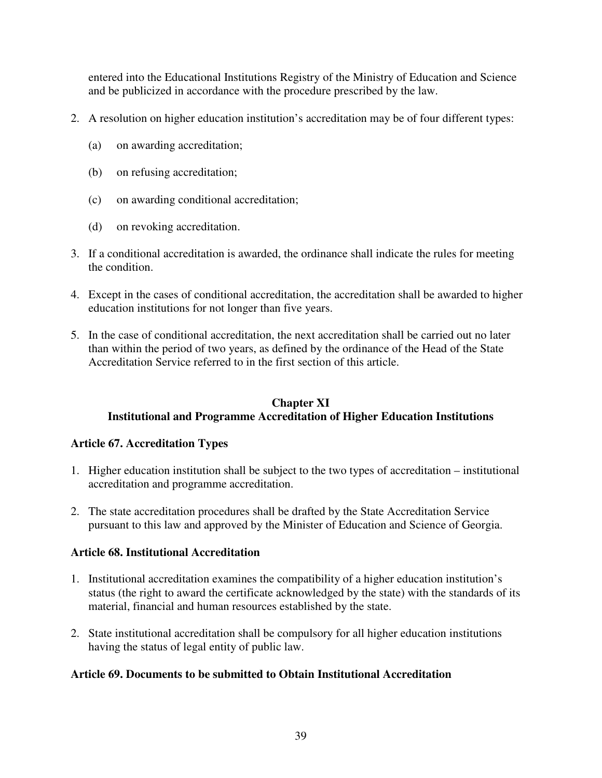entered into the Educational Institutions Registry of the Ministry of Education and Science and be publicized in accordance with the procedure prescribed by the law.

- 2. A resolution on higher education institution's accreditation may be of four different types:
	- (a) on awarding accreditation;
	- (b) on refusing accreditation;
	- (c) on awarding conditional accreditation;
	- (d) on revoking accreditation.
- 3. If a conditional accreditation is awarded, the ordinance shall indicate the rules for meeting the condition.
- 4. Except in the cases of conditional accreditation, the accreditation shall be awarded to higher education institutions for not longer than five years.
- 5. In the case of conditional accreditation, the next accreditation shall be carried out no later than within the period of two years, as defined by the ordinance of the Head of the State Accreditation Service referred to in the first section of this article.

## **Chapter XI Institutional and Programme Accreditation of Higher Education Institutions**

## **Article 67. Accreditation Types**

- 1. Higher education institution shall be subject to the two types of accreditation institutional accreditation and programme accreditation.
- 2. The state accreditation procedures shall be drafted by the State Accreditation Service pursuant to this law and approved by the Minister of Education and Science of Georgia.

## **Article 68. Institutional Accreditation**

- 1. Institutional accreditation examines the compatibility of a higher education institution's status (the right to award the certificate acknowledged by the state) with the standards of its material, financial and human resources established by the state.
- 2. State institutional accreditation shall be compulsory for all higher education institutions having the status of legal entity of public law.

## **Article 69. Documents to be submitted to Obtain Institutional Accreditation**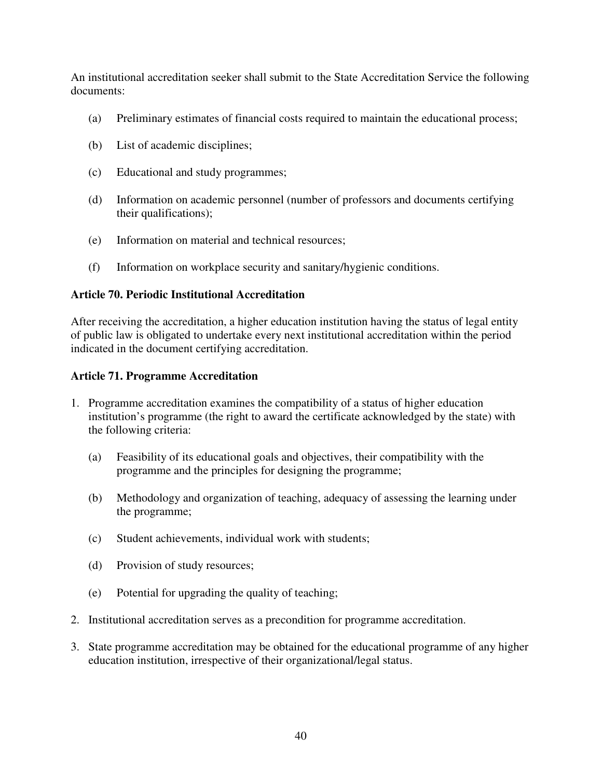An institutional accreditation seeker shall submit to the State Accreditation Service the following documents:

- (a) Preliminary estimates of financial costs required to maintain the educational process;
- (b) List of academic disciplines;
- (c) Educational and study programmes;
- (d) Information on academic personnel (number of professors and documents certifying their qualifications);
- (e) Information on material and technical resources;
- (f) Information on workplace security and sanitary/hygienic conditions.

### **Article 70. Periodic Institutional Accreditation**

After receiving the accreditation, a higher education institution having the status of legal entity of public law is obligated to undertake every next institutional accreditation within the period indicated in the document certifying accreditation.

### **Article 71. Programme Accreditation**

- 1. Programme accreditation examines the compatibility of a status of higher education institution's programme (the right to award the certificate acknowledged by the state) with the following criteria:
	- (a) Feasibility of its educational goals and objectives, their compatibility with the programme and the principles for designing the programme;
	- (b) Methodology and organization of teaching, adequacy of assessing the learning under the programme;
	- (c) Student achievements, individual work with students;
	- (d) Provision of study resources;
	- (e) Potential for upgrading the quality of teaching;
- 2. Institutional accreditation serves as a precondition for programme accreditation.
- 3. State programme accreditation may be obtained for the educational programme of any higher education institution, irrespective of their organizational/legal status.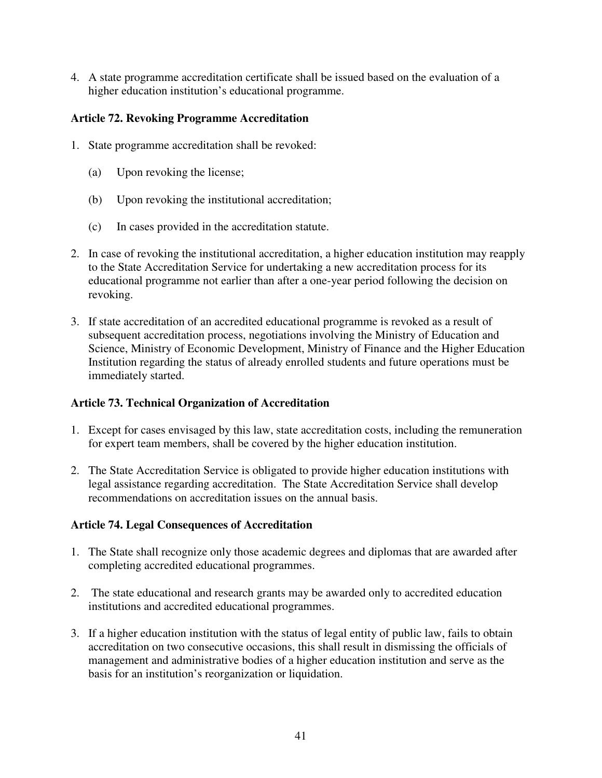4. A state programme accreditation certificate shall be issued based on the evaluation of a higher education institution's educational programme.

## **Article 72. Revoking Programme Accreditation**

- 1. State programme accreditation shall be revoked:
	- (a) Upon revoking the license;
	- (b) Upon revoking the institutional accreditation;
	- (c) In cases provided in the accreditation statute.
- 2. In case of revoking the institutional accreditation, a higher education institution may reapply to the State Accreditation Service for undertaking a new accreditation process for its educational programme not earlier than after a one-year period following the decision on revoking.
- 3. If state accreditation of an accredited educational programme is revoked as a result of subsequent accreditation process, negotiations involving the Ministry of Education and Science, Ministry of Economic Development, Ministry of Finance and the Higher Education Institution regarding the status of already enrolled students and future operations must be immediately started.

## **Article 73. Technical Organization of Accreditation**

- 1. Except for cases envisaged by this law, state accreditation costs, including the remuneration for expert team members, shall be covered by the higher education institution.
- 2. The State Accreditation Service is obligated to provide higher education institutions with legal assistance regarding accreditation. The State Accreditation Service shall develop recommendations on accreditation issues on the annual basis.

## **Article 74. Legal Consequences of Accreditation**

- 1. The State shall recognize only those academic degrees and diplomas that are awarded after completing accredited educational programmes.
- 2. The state educational and research grants may be awarded only to accredited education institutions and accredited educational programmes.
- 3. If a higher education institution with the status of legal entity of public law, fails to obtain accreditation on two consecutive occasions, this shall result in dismissing the officials of management and administrative bodies of a higher education institution and serve as the basis for an institution's reorganization or liquidation.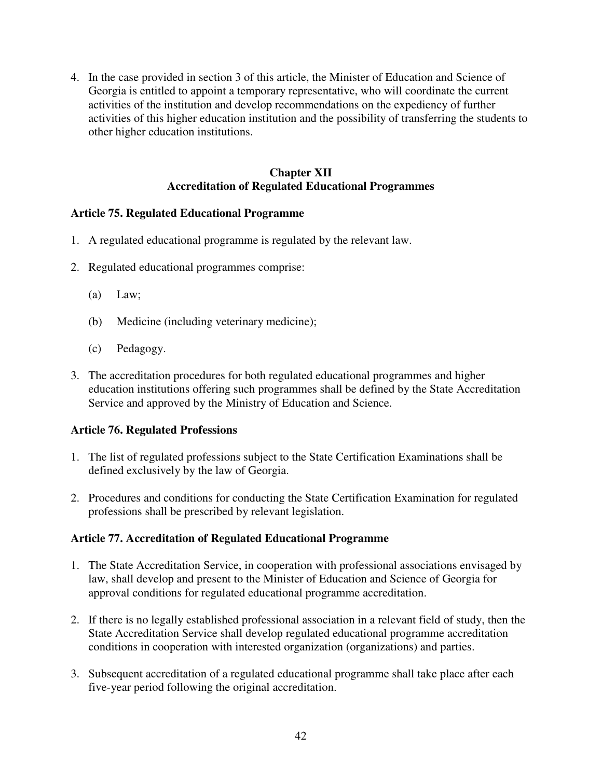4. In the case provided in section 3 of this article, the Minister of Education and Science of Georgia is entitled to appoint a temporary representative, who will coordinate the current activities of the institution and develop recommendations on the expediency of further activities of this higher education institution and the possibility of transferring the students to other higher education institutions.

### **Chapter XII Accreditation of Regulated Educational Programmes**

## **Article 75. Regulated Educational Programme**

- 1. A regulated educational programme is regulated by the relevant law.
- 2. Regulated educational programmes comprise:
	- (a) Law;
	- (b) Medicine (including veterinary medicine);
	- (c) Pedagogy.
- 3. The accreditation procedures for both regulated educational programmes and higher education institutions offering such programmes shall be defined by the State Accreditation Service and approved by the Ministry of Education and Science.

### **Article 76. Regulated Professions**

- 1. The list of regulated professions subject to the State Certification Examinations shall be defined exclusively by the law of Georgia.
- 2. Procedures and conditions for conducting the State Certification Examination for regulated professions shall be prescribed by relevant legislation.

### **Article 77. Accreditation of Regulated Educational Programme**

- 1. The State Accreditation Service, in cooperation with professional associations envisaged by law, shall develop and present to the Minister of Education and Science of Georgia for approval conditions for regulated educational programme accreditation.
- 2. If there is no legally established professional association in a relevant field of study, then the State Accreditation Service shall develop regulated educational programme accreditation conditions in cooperation with interested organization (organizations) and parties.
- 3. Subsequent accreditation of a regulated educational programme shall take place after each five-year period following the original accreditation.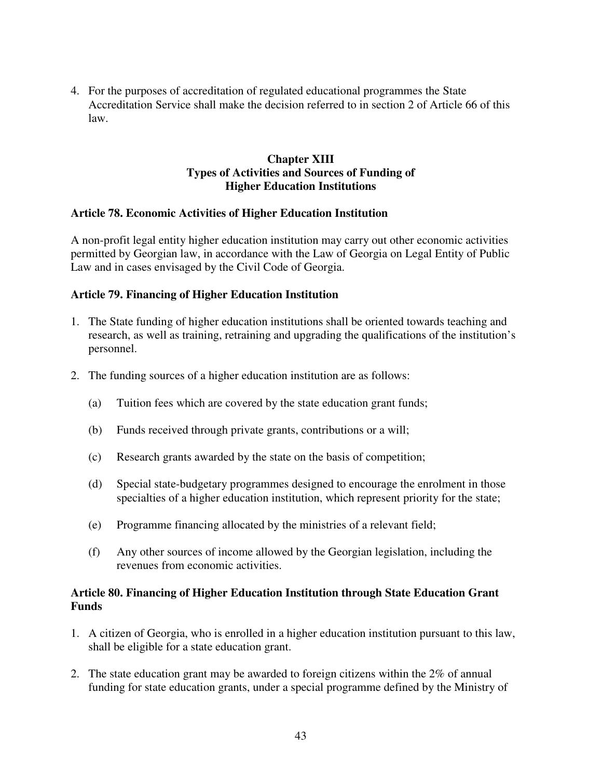4. For the purposes of accreditation of regulated educational programmes the State Accreditation Service shall make the decision referred to in section 2 of Article 66 of this law.

## **Chapter XIII Types of Activities and Sources of Funding of Higher Education Institutions**

### **Article 78. Economic Activities of Higher Education Institution**

A non-profit legal entity higher education institution may carry out other economic activities permitted by Georgian law, in accordance with the Law of Georgia on Legal Entity of Public Law and in cases envisaged by the Civil Code of Georgia.

### **Article 79. Financing of Higher Education Institution**

- 1. The State funding of higher education institutions shall be oriented towards teaching and research, as well as training, retraining and upgrading the qualifications of the institution's personnel.
- 2. The funding sources of a higher education institution are as follows:
	- (a) Tuition fees which are covered by the state education grant funds;
	- (b) Funds received through private grants, contributions or a will;
	- (c) Research grants awarded by the state on the basis of competition;
	- (d) Special state-budgetary programmes designed to encourage the enrolment in those specialties of a higher education institution, which represent priority for the state;
	- (e) Programme financing allocated by the ministries of a relevant field;
	- (f) Any other sources of income allowed by the Georgian legislation, including the revenues from economic activities.

### **Article 80. Financing of Higher Education Institution through State Education Grant Funds**

- 1. A citizen of Georgia, who is enrolled in a higher education institution pursuant to this law, shall be eligible for a state education grant.
- 2. The state education grant may be awarded to foreign citizens within the 2% of annual funding for state education grants, under a special programme defined by the Ministry of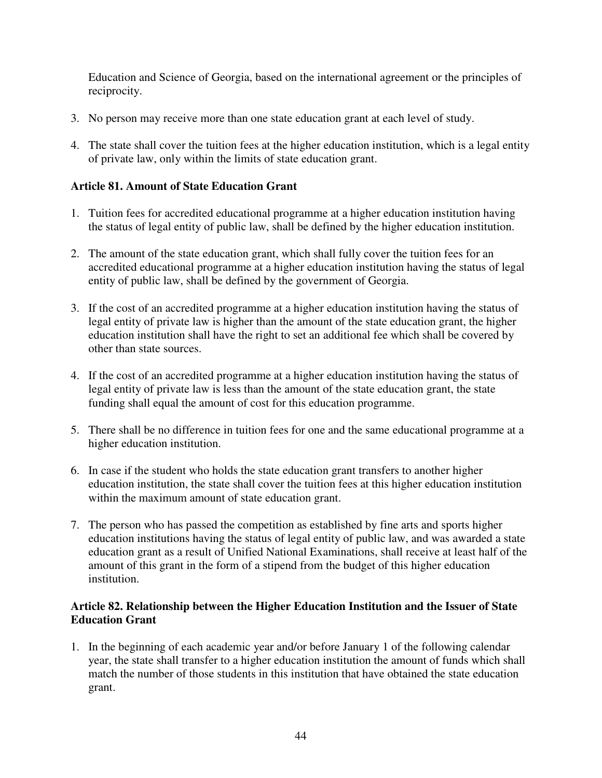Education and Science of Georgia, based on the international agreement or the principles of reciprocity.

- 3. No person may receive more than one state education grant at each level of study.
- 4. The state shall cover the tuition fees at the higher education institution, which is a legal entity of private law, only within the limits of state education grant.

## **Article 81. Amount of State Education Grant**

- 1. Tuition fees for accredited educational programme at a higher education institution having the status of legal entity of public law, shall be defined by the higher education institution.
- 2. The amount of the state education grant, which shall fully cover the tuition fees for an accredited educational programme at a higher education institution having the status of legal entity of public law, shall be defined by the government of Georgia.
- 3. If the cost of an accredited programme at a higher education institution having the status of legal entity of private law is higher than the amount of the state education grant, the higher education institution shall have the right to set an additional fee which shall be covered by other than state sources.
- 4. If the cost of an accredited programme at a higher education institution having the status of legal entity of private law is less than the amount of the state education grant, the state funding shall equal the amount of cost for this education programme.
- 5. There shall be no difference in tuition fees for one and the same educational programme at a higher education institution.
- 6. In case if the student who holds the state education grant transfers to another higher education institution, the state shall cover the tuition fees at this higher education institution within the maximum amount of state education grant.
- 7. The person who has passed the competition as established by fine arts and sports higher education institutions having the status of legal entity of public law, and was awarded a state education grant as a result of Unified National Examinations, shall receive at least half of the amount of this grant in the form of a stipend from the budget of this higher education institution.

## **Article 82. Relationship between the Higher Education Institution and the Issuer of State Education Grant**

1. In the beginning of each academic year and/or before January 1 of the following calendar year, the state shall transfer to a higher education institution the amount of funds which shall match the number of those students in this institution that have obtained the state education grant.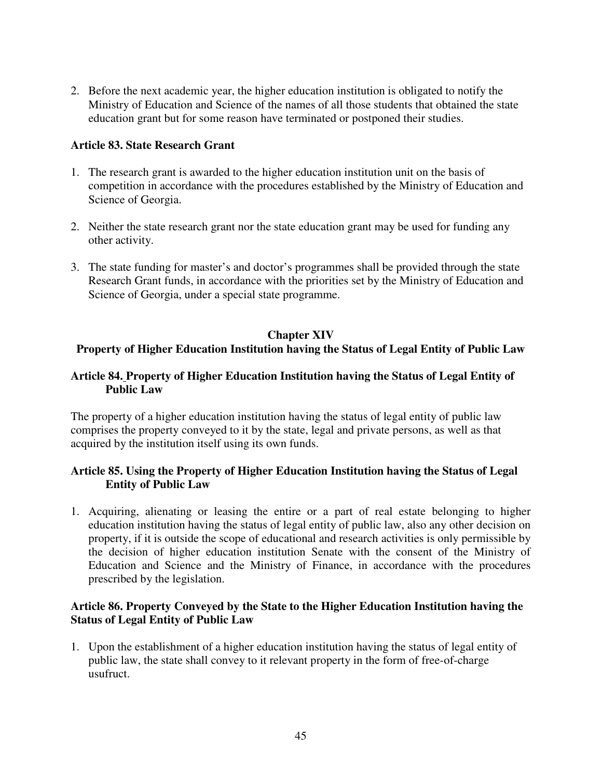2. Before the next academic year, the higher education institution is obligated to notify the Ministry of Education and Science of the names of all those students that obtained the state education grant but for some reason have terminated or postponed their studies.

### **Article 83. State Research Grant**

- 1. The research grant is awarded to the higher education institution unit on the basis of competition in accordance with the procedures established by the Ministry of Education and Science of Georgia.
- 2. Neither the state research grant nor the state education grant may be used for funding any other activity.
- 3. The state funding for master's and doctor's programmes shall be provided through the state Research Grant funds, in accordance with the priorities set by the Ministry of Education and Science of Georgia, under a special state programme.

### **Chapter XIV**

## **Property of Higher Education Institution having the Status of Legal Entity of Public Law**

### **Article 84. Property of Higher Education Institution having the Status of Legal Entity of Public Law**

The property of a higher education institution having the status of legal entity of public law comprises the property conveyed to it by the state, legal and private persons, as well as that acquired by the institution itself using its own funds.

### **Article 85. Using the Property of Higher Education Institution having the Status of Legal Entity of Public Law**

1. Acquiring, alienating or leasing the entire or a part of real estate belonging to higher education institution having the status of legal entity of public law, also any other decision on property, if it is outside the scope of educational and research activities is only permissible by the decision of higher education institution Senate with the consent of the Ministry of Education and Science and the Ministry of Finance, in accordance with the procedures prescribed by the legislation.

### **Article 86. Property Conveyed by the State to the Higher Education Institution having the Status of Legal Entity of Public Law**

1. Upon the establishment of a higher education institution having the status of legal entity of public law, the state shall convey to it relevant property in the form of free-of-charge usufruct.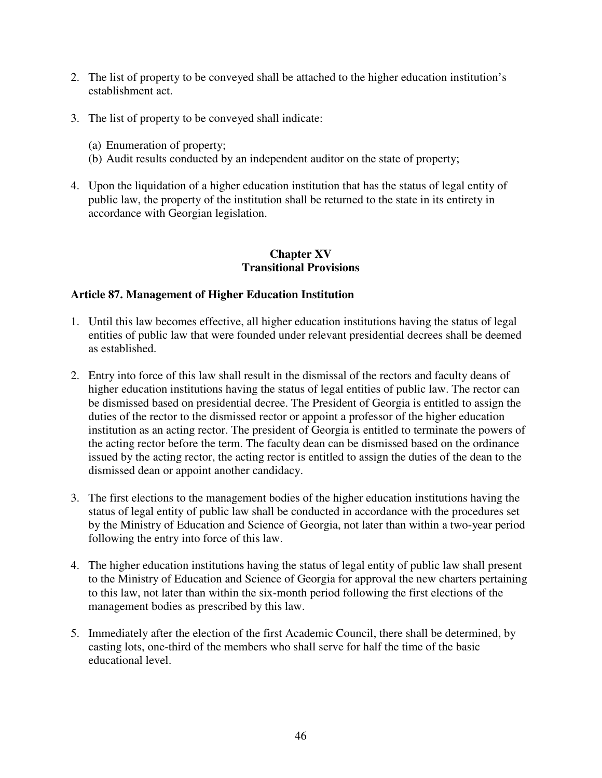- 2. The list of property to be conveyed shall be attached to the higher education institution's establishment act.
- 3. The list of property to be conveyed shall indicate:
	- (a) Enumeration of property;
	- (b) Audit results conducted by an independent auditor on the state of property;
- 4. Upon the liquidation of a higher education institution that has the status of legal entity of public law, the property of the institution shall be returned to the state in its entirety in accordance with Georgian legislation.

### **Chapter XV Transitional Provisions**

### **Article 87. Management of Higher Education Institution**

- 1. Until this law becomes effective, all higher education institutions having the status of legal entities of public law that were founded under relevant presidential decrees shall be deemed as established.
- 2. Entry into force of this law shall result in the dismissal of the rectors and faculty deans of higher education institutions having the status of legal entities of public law. The rector can be dismissed based on presidential decree. The President of Georgia is entitled to assign the duties of the rector to the dismissed rector or appoint a professor of the higher education institution as an acting rector. The president of Georgia is entitled to terminate the powers of the acting rector before the term. The faculty dean can be dismissed based on the ordinance issued by the acting rector, the acting rector is entitled to assign the duties of the dean to the dismissed dean or appoint another candidacy.
- 3. The first elections to the management bodies of the higher education institutions having the status of legal entity of public law shall be conducted in accordance with the procedures set by the Ministry of Education and Science of Georgia, not later than within a two-year period following the entry into force of this law.
- 4. The higher education institutions having the status of legal entity of public law shall present to the Ministry of Education and Science of Georgia for approval the new charters pertaining to this law, not later than within the six-month period following the first elections of the management bodies as prescribed by this law.
- 5. Immediately after the election of the first Academic Council, there shall be determined, by casting lots, one-third of the members who shall serve for half the time of the basic educational level.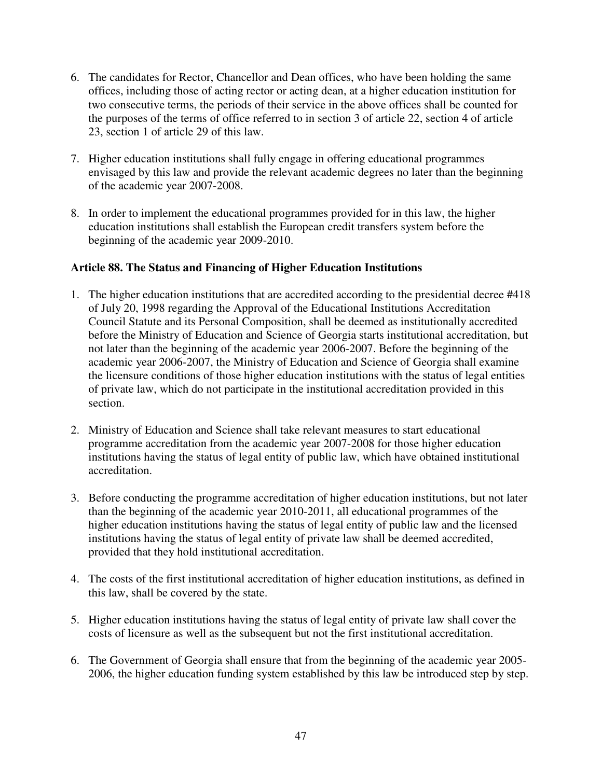- 6. The candidates for Rector, Chancellor and Dean offices, who have been holding the same offices, including those of acting rector or acting dean, at a higher education institution for two consecutive terms, the periods of their service in the above offices shall be counted for the purposes of the terms of office referred to in section 3 of article 22, section 4 of article 23, section 1 of article 29 of this law.
- 7. Higher education institutions shall fully engage in offering educational programmes envisaged by this law and provide the relevant academic degrees no later than the beginning of the academic year 2007-2008.
- 8. In order to implement the educational programmes provided for in this law, the higher education institutions shall establish the European credit transfers system before the beginning of the academic year 2009-2010.

## **Article 88. The Status and Financing of Higher Education Institutions**

- 1. The higher education institutions that are accredited according to the presidential decree #418 of July 20, 1998 regarding the Approval of the Educational Institutions Accreditation Council Statute and its Personal Composition, shall be deemed as institutionally accredited before the Ministry of Education and Science of Georgia starts institutional accreditation, but not later than the beginning of the academic year 2006-2007. Before the beginning of the academic year 2006-2007, the Ministry of Education and Science of Georgia shall examine the licensure conditions of those higher education institutions with the status of legal entities of private law, which do not participate in the institutional accreditation provided in this section.
- 2. Ministry of Education and Science shall take relevant measures to start educational programme accreditation from the academic year 2007-2008 for those higher education institutions having the status of legal entity of public law, which have obtained institutional accreditation.
- 3. Before conducting the programme accreditation of higher education institutions, but not later than the beginning of the academic year 2010-2011, all educational programmes of the higher education institutions having the status of legal entity of public law and the licensed institutions having the status of legal entity of private law shall be deemed accredited, provided that they hold institutional accreditation.
- 4. The costs of the first institutional accreditation of higher education institutions, as defined in this law, shall be covered by the state.
- 5. Higher education institutions having the status of legal entity of private law shall cover the costs of licensure as well as the subsequent but not the first institutional accreditation.
- 6. The Government of Georgia shall ensure that from the beginning of the academic year 2005- 2006, the higher education funding system established by this law be introduced step by step.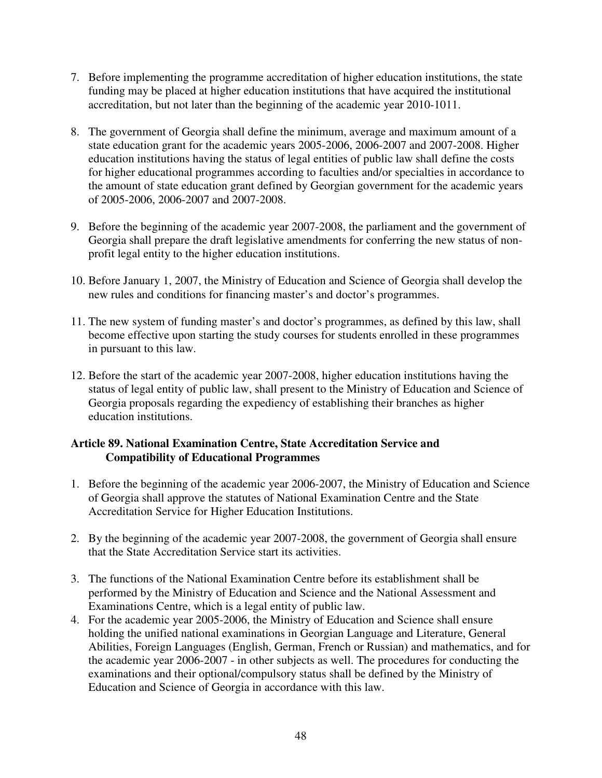- 7. Before implementing the programme accreditation of higher education institutions, the state funding may be placed at higher education institutions that have acquired the institutional accreditation, but not later than the beginning of the academic year 2010-1011.
- 8. The government of Georgia shall define the minimum, average and maximum amount of a state education grant for the academic years 2005-2006, 2006-2007 and 2007-2008. Higher education institutions having the status of legal entities of public law shall define the costs for higher educational programmes according to faculties and/or specialties in accordance to the amount of state education grant defined by Georgian government for the academic years of 2005-2006, 2006-2007 and 2007-2008.
- 9. Before the beginning of the academic year 2007-2008, the parliament and the government of Georgia shall prepare the draft legislative amendments for conferring the new status of nonprofit legal entity to the higher education institutions.
- 10. Before January 1, 2007, the Ministry of Education and Science of Georgia shall develop the new rules and conditions for financing master's and doctor's programmes.
- 11. The new system of funding master's and doctor's programmes, as defined by this law, shall become effective upon starting the study courses for students enrolled in these programmes in pursuant to this law.
- 12. Before the start of the academic year 2007-2008, higher education institutions having the status of legal entity of public law, shall present to the Ministry of Education and Science of Georgia proposals regarding the expediency of establishing their branches as higher education institutions.

## **Article 89. National Examination Centre, State Accreditation Service and Compatibility of Educational Programmes**

- 1. Before the beginning of the academic year 2006-2007, the Ministry of Education and Science of Georgia shall approve the statutes of National Examination Centre and the State Accreditation Service for Higher Education Institutions.
- 2. By the beginning of the academic year 2007-2008, the government of Georgia shall ensure that the State Accreditation Service start its activities.
- 3. The functions of the National Examination Centre before its establishment shall be performed by the Ministry of Education and Science and the National Assessment and Examinations Centre, which is a legal entity of public law.
- 4. For the academic year 2005-2006, the Ministry of Education and Science shall ensure holding the unified national examinations in Georgian Language and Literature, General Abilities, Foreign Languages (English, German, French or Russian) and mathematics, and for the academic year 2006-2007 - in other subjects as well. The procedures for conducting the examinations and their optional/compulsory status shall be defined by the Ministry of Education and Science of Georgia in accordance with this law.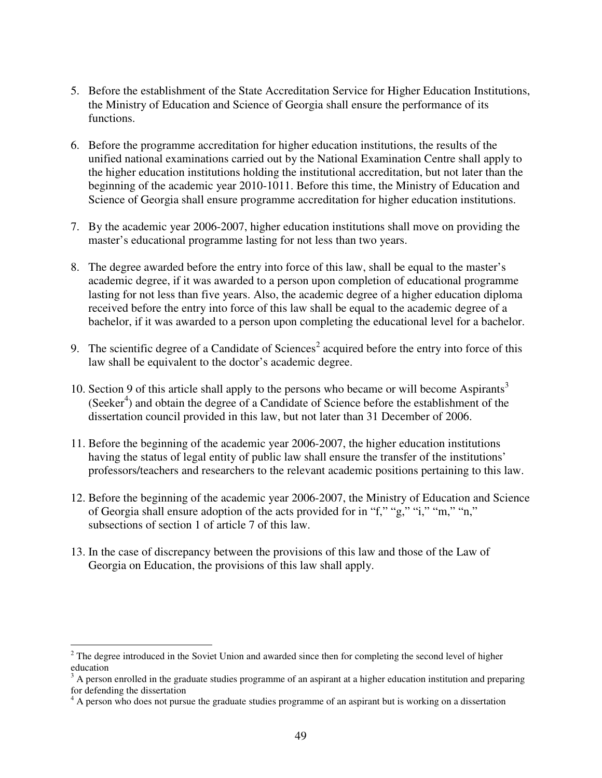- 5. Before the establishment of the State Accreditation Service for Higher Education Institutions, the Ministry of Education and Science of Georgia shall ensure the performance of its functions.
- 6. Before the programme accreditation for higher education institutions, the results of the unified national examinations carried out by the National Examination Centre shall apply to the higher education institutions holding the institutional accreditation, but not later than the beginning of the academic year 2010-1011. Before this time, the Ministry of Education and Science of Georgia shall ensure programme accreditation for higher education institutions.
- 7. By the academic year 2006-2007, higher education institutions shall move on providing the master's educational programme lasting for not less than two years.
- 8. The degree awarded before the entry into force of this law, shall be equal to the master's academic degree, if it was awarded to a person upon completion of educational programme lasting for not less than five years. Also, the academic degree of a higher education diploma received before the entry into force of this law shall be equal to the academic degree of a bachelor, if it was awarded to a person upon completing the educational level for a bachelor.
- 9. The scientific degree of a Candidate of Sciences<sup>2</sup> acquired before the entry into force of this law shall be equivalent to the doctor's academic degree.
- 10. Section 9 of this article shall apply to the persons who became or will become Aspirants<sup>3</sup> (Seeker 4 ) and obtain the degree of a Candidate of Science before the establishment of the dissertation council provided in this law, but not later than 31 December of 2006.
- 11. Before the beginning of the academic year 2006-2007, the higher education institutions having the status of legal entity of public law shall ensure the transfer of the institutions' professors/teachers and researchers to the relevant academic positions pertaining to this law.
- 12. Before the beginning of the academic year 2006-2007, the Ministry of Education and Science of Georgia shall ensure adoption of the acts provided for in "f," "g," "i," "m," "n," subsections of section 1 of article 7 of this law.
- 13. In the case of discrepancy between the provisions of this law and those of the Law of Georgia on Education, the provisions of this law shall apply.

<sup>&</sup>lt;sup>2</sup> The degree introduced in the Soviet Union and awarded since then for completing the second level of higher education

 $3$  A person enrolled in the graduate studies programme of an aspirant at a higher education institution and preparing for defending the dissertation

<sup>&</sup>lt;sup>4</sup> A person who does not pursue the graduate studies programme of an aspirant but is working on a dissertation